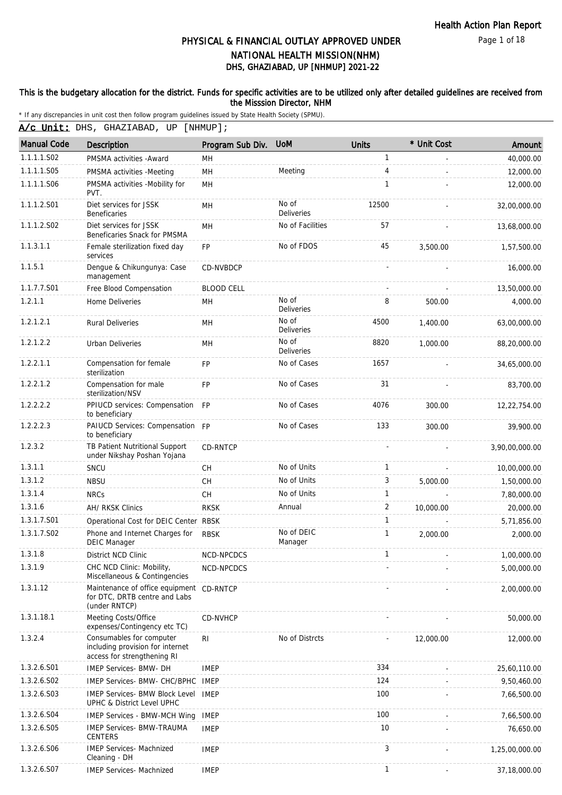Page 1 of 18

# DHS, GHAZIABAD, UP [NHMUP] 2021-22 PHYSICAL & FINANCIAL OUTLAY APPROVED UNDER NATIONAL HEALTH MISSION(NHM)

### This is the budgetary allocation for the district. Funds for specific activities are to be utilized only after detailed guidelines are received from the Misssion Director, NHM

\* If any discrepancies in unit cost then follow program guidelines issued by State Health Society (SPMU).

A/c Unit: DHS, GHAZIABAD, UP [NHMUP];

| <b>Manual Code</b> | Description                                                                                 | Program Sub Div.  | <b>UoM</b>                 | <b>Units</b>   | * Unit Cost | Amount         |
|--------------------|---------------------------------------------------------------------------------------------|-------------------|----------------------------|----------------|-------------|----------------|
| 1.1.1.1.S02        | PMSMA activities - Award                                                                    | MН                |                            | 1              |             | 40,000.00      |
| 1.1.1.1.S05        | PMSMA activities -Meeting                                                                   | MH                | Meeting                    | 4              |             | 12,000.00      |
| 1.1.1.1.S06        | PMSMA activities -Mobility for<br>PVT.                                                      | <b>MH</b>         |                            | 1              |             | 12,000.00      |
| 1.1.1.2.S01        | Diet services for JSSK<br><b>Beneficaries</b>                                               | MH                | No of<br><b>Deliveries</b> | 12500          |             | 32,00,000.00   |
| 1.1.1.2.S02        | Diet services for JSSK<br>Beneficaries Snack for PMSMA                                      | MH                | No of Facilities           | 57             |             | 13,68,000.00   |
| 1.1.3.1.1          | Female sterilization fixed day<br>services                                                  | <b>FP</b>         | No of FDOS                 | 45             | 3,500.00    | 1,57,500.00    |
| 1.1.5.1            | Dengue & Chikungunya: Case<br>management                                                    | CD-NVBDCP         |                            |                |             | 16,000.00      |
| 1.1.7.7.S01        | Free Blood Compensation                                                                     | <b>BLOOD CELL</b> |                            |                |             | 13,50,000.00   |
| 1.2.1.1            | Home Deliveries                                                                             | MН                | No of<br>Deliveries        | 8              | 500.00      | 4,000.00       |
| 1.2.1.2.1          | <b>Rural Deliveries</b>                                                                     | MН                | No of<br>Deliveries        | 4500           | 1,400.00    | 63,00,000.00   |
| 1.2.1.2.2          | <b>Urban Deliveries</b>                                                                     | MН                | No of<br>Deliveries        | 8820           | 1.000.00    | 88,20,000.00   |
| 1.2.2.1.1          | Compensation for female<br>sterilization                                                    | <b>FP</b>         | No of Cases                | 1657           |             | 34,65,000.00   |
| 1.2.2.1.2          | Compensation for male<br>sterilization/NSV                                                  | <b>FP</b>         | No of Cases                | 31             |             | 83,700.00      |
| 1.2.2.2.2          | PPIUCD services: Compensation FP<br>to beneficiary                                          |                   | No of Cases                | 4076           | 300.00      | 12,22,754.00   |
| 1.2.2.2.3          | PAIUCD Services: Compensation FP<br>to beneficiary                                          |                   | No of Cases                | 133            | 300.00      | 39,900.00      |
| 1.2.3.2            | TB Patient Nutritional Support<br>under Nikshay Poshan Yojana                               | CD-RNTCP          |                            |                |             | 3,90,00,000.00 |
| 1.3.1.1            | SNCU                                                                                        | <b>CH</b>         | No of Units                | $\mathbf{1}$   |             | 10,00,000.00   |
| 1.3.1.2            | <b>NBSU</b>                                                                                 | <b>CH</b>         | No of Units                | 3              | 5,000.00    | 1,50,000.00    |
| 1.3.1.4            | <b>NRCs</b>                                                                                 | <b>CH</b>         | No of Units                | $\mathbf{1}$   |             | 7,80,000.00    |
| 1.3.1.6            | AH/ RKSK Clinics                                                                            | <b>RKSK</b>       | Annual                     | $\overline{2}$ | 10,000.00   | 20,000.00      |
| 1.3.1.7.S01        | Operational Cost for DEIC Center RBSK                                                       |                   |                            | $\mathbf{1}$   |             | 5,71,856.00    |
| 1.3.1.7.S02        | Phone and Internet Charges for<br><b>DEIC Manager</b>                                       | <b>RBSK</b>       | No of DEIC<br>Manager      | $\mathbf{1}$   | 2.000.00    | 2,000.00       |
| 1.3.1.8            | District NCD Clinic                                                                         | <b>NCD-NPCDCS</b> |                            | 1              |             | 1,00,000.00    |
| 1.3.1.9            | CHC NCD Clinic: Mobility,<br>Miscellaneous & Contingencies                                  | NCD-NPCDCS        |                            |                |             | 5,00,000.00    |
| 1.3.1.12           | Maintenance of office equipment CD-RNTCP<br>for DTC, DRTB centre and Labs<br>(under RNTCP)  |                   |                            |                |             | 2,00,000.00    |
| 1.3.1.18.1         | Meeting Costs/Office<br>expenses/Contingency etc TC)                                        | <b>CD-NVHCP</b>   |                            |                |             | 50,000.00      |
| 1.3.2.4            | Consumables for computer<br>including provision for internet<br>access for strengthening RI | R <sub>l</sub>    | No of Distrcts             |                | 12,000.00   | 12,000.00      |
| 1.3.2.6.S01        | <b>IMEP Services- BMW- DH</b>                                                               | <b>IMEP</b>       |                            | 334            |             | 25,60,110.00   |
| 1.3.2.6.S02        | IMEP Services- BMW- CHC/BPHC                                                                | IMEP              |                            | 124            |             | 9,50,460.00    |
| 1.3.2.6.S03        | <b>IMEP Services- BMW Block Level</b><br>UPHC & District Level UPHC                         | <b>IMEP</b>       |                            | 100            |             | 7,66,500.00    |
| 1.3.2.6.S04        | <b>IMEP Services - BMW-MCH Wing</b>                                                         | <b>IMEP</b>       |                            | 100            |             | 7,66,500.00    |
| 1.3.2.6.S05        | <b>IMEP Services- BMW-TRAUMA</b><br><b>CENTERS</b>                                          | <b>IMEP</b>       |                            | 10             |             | 76,650.00      |
| 1.3.2.6.S06        | <b>IMEP Services- Machnized</b><br>Cleaning - DH                                            | <b>IMEP</b>       |                            | 3              |             | 1,25,00,000.00 |
| 1.3.2.6.S07        | <b>IMEP Services- Machnized</b>                                                             | <b>IMEP</b>       |                            | $\mathbf{1}$   |             | 37,18,000.00   |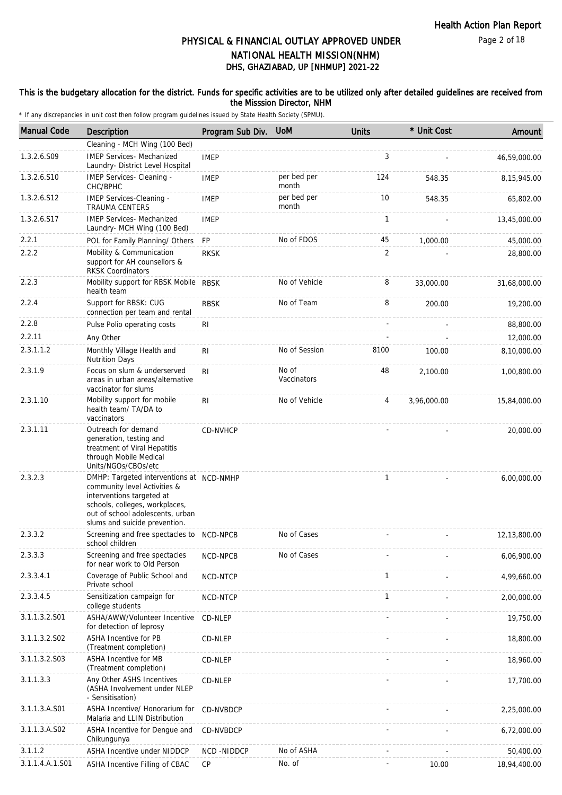Page 2 of 18

# DHS, GHAZIABAD, UP [NHMUP] 2021-22 PHYSICAL & FINANCIAL OUTLAY APPROVED UNDER NATIONAL HEALTH MISSION(NHM)

### This is the budgetary allocation for the district. Funds for specific activities are to be utilized only after detailed guidelines are received from the Misssion Director, NHM

| <b>Manual Code</b> | <b>Description</b>                                                                                                                                                                                           | Program Sub Div. | <b>UoM</b>           | <b>Units</b> | * Unit Cost | Amount       |
|--------------------|--------------------------------------------------------------------------------------------------------------------------------------------------------------------------------------------------------------|------------------|----------------------|--------------|-------------|--------------|
|                    | Cleaning - MCH Wing (100 Bed)                                                                                                                                                                                |                  |                      |              |             |              |
| 1.3.2.6.S09        | <b>IMEP Services- Mechanized</b><br>Laundry- District Level Hospital                                                                                                                                         | <b>IMEP</b>      |                      | 3            |             | 46,59,000.00 |
| 1.3.2.6.S10        | IMEP Services- Cleaning -<br>CHC/BPHC                                                                                                                                                                        | <b>IMEP</b>      | per bed per<br>month | 124          | 548.35      | 8,15,945.00  |
| 1.3.2.6.S12        | IMEP Services-Cleaning -<br><b>TRAUMA CENTERS</b>                                                                                                                                                            | <b>IMEP</b>      | per bed per<br>month | 10           | 548.35      | 65,802.00    |
| 1.3.2.6.S17        | <b>IMEP Services- Mechanized</b><br>Laundry- MCH Wing (100 Bed)                                                                                                                                              | <b>IMEP</b>      |                      | $\mathbf{1}$ |             | 13,45,000.00 |
| 2.2.1              | POL for Family Planning/ Others                                                                                                                                                                              | FP               | No of FDOS           | 45           | 1,000.00    | 45,000.00    |
| 2.2.2              | Mobility & Communication<br>support for AH counsellors &<br><b>RKSK Coordinators</b>                                                                                                                         | <b>RKSK</b>      |                      | 2            |             | 28,800.00    |
| 2.2.3              | Mobility support for RBSK Mobile RBSK<br>health team                                                                                                                                                         |                  | No of Vehicle        | 8            | 33,000.00   | 31,68,000.00 |
| 2.2.4              | Support for RBSK: CUG<br>connection per team and rental                                                                                                                                                      | <b>RBSK</b>      | No of Team           | 8            | 200.00      | 19,200.00    |
| 2.2.8              | Pulse Polio operating costs                                                                                                                                                                                  | RI               |                      |              |             | 88,800.00    |
| 2.2.11             | Any Other                                                                                                                                                                                                    |                  |                      |              |             | 12,000.00    |
| 2.3.1.1.2          | Monthly Village Health and<br><b>Nutrition Days</b>                                                                                                                                                          | RI               | No of Session        | 8100         | 100.00      | 8,10,000.00  |
| 2.3.1.9            | Focus on slum & underserved<br>areas in urban areas/alternative<br>vaccinator for slums                                                                                                                      | R <sub>l</sub>   | No of<br>Vaccinators | 48           | 2.100.00    | 1,00,800.00  |
| 2.3.1.10           | Mobility support for mobile<br>health team/ TA/DA to<br>vaccinators                                                                                                                                          | R <sub>1</sub>   | No of Vehicle        | 4            | 3,96,000.00 | 15,84,000.00 |
| 2.3.1.11           | Outreach for demand<br>generation, testing and<br>treatment of Viral Hepatitis<br>through Mobile Medical<br>Units/NGOs/CBOs/etc                                                                              | CD-NVHCP         |                      |              |             | 20,000.00    |
| 2.3.2.3            | DMHP: Targeted interventions at NCD-NMHP<br>community level Activities &<br>interventions targeted at<br>schools, colleges, workplaces,<br>out of school adolescents, urban<br>slums and suicide prevention. |                  |                      | $\mathbf{1}$ |             | 6,00,000.00  |
| 2.3.3.2            | Screening and free spectacles to NCD-NPCB<br>school children                                                                                                                                                 |                  | No of Cases          |              |             | 12,13,800.00 |
| 2.3.3.3            | Screening and free spectacles<br>for near work to Old Person                                                                                                                                                 | NCD-NPCB         | No of Cases          |              |             | 6,06,900.00  |
| 2.3.3.4.1          | Coverage of Public School and<br>Private school                                                                                                                                                              | NCD-NTCP         |                      | $\mathbf{1}$ |             | 4,99,660.00  |
| 2.3.3.4.5          | Sensitization campaign for<br>college students                                                                                                                                                               | NCD-NTCP         |                      | 1            |             | 2,00,000.00  |
| 3.1.1.3.2.S01      | ASHA/AWW/Volunteer Incentive<br>for detection of leprosy                                                                                                                                                     | CD-NLEP          |                      |              |             | 19,750.00    |
| 3.1.1.3.2.S02      | <b>ASHA Incentive for PB</b><br>(Treatment completion)                                                                                                                                                       | CD-NLEP          |                      |              |             | 18,800.00    |
| 3.1.1.3.2.S03      | <b>ASHA Incentive for MB</b><br>(Treatment completion)                                                                                                                                                       | CD-NLEP          |                      |              |             | 18,960.00    |
| 3.1.1.3.3          | Any Other ASHS Incentives<br>(ASHA Involvement under NLEP<br>- Sensitisation)                                                                                                                                | CD-NLEP          |                      |              |             | 17,700.00    |
| 3.1.1.3.A.S01      | ASHA Incentive/ Honorarium for<br>Malaria and LLIN Distribution                                                                                                                                              | CD-NVBDCP        |                      |              |             | 2,25,000.00  |
| 3.1.1.3.A.S02      | ASHA Incentive for Dengue and<br>Chikungunya                                                                                                                                                                 | CD-NVBDCP        |                      |              |             | 6,72,000.00  |
| 3.1.1.2            | ASHA Incentive under NIDDCP                                                                                                                                                                                  | NCD -NIDDCP      | No of ASHA           |              |             | 50,400.00    |
| 3.1.1.4.A.1.S01    | ASHA Incentive Filling of CBAC                                                                                                                                                                               | CP               | No. of               |              | 10.00       | 18,94,400.00 |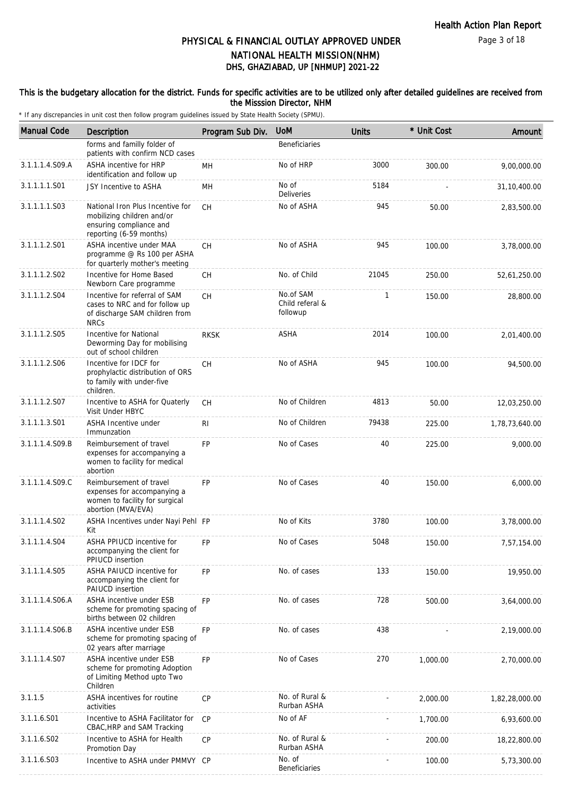### This is the budgetary allocation for the district. Funds for specific activities are to be utilized only after detailed guidelines are received from the Misssion Director, NHM

| <b>Manual Code</b> | Description                                                                                                          | Program Sub Div. | <b>UoM</b>                               | <b>Units</b> | * Unit Cost | Amount         |
|--------------------|----------------------------------------------------------------------------------------------------------------------|------------------|------------------------------------------|--------------|-------------|----------------|
|                    | forms and familly folder of<br>patients with confirm NCD cases                                                       |                  | <b>Beneficiaries</b>                     |              |             |                |
| 3.1.1.1.4.S09.A    | ASHA incentive for HRP<br>identification and follow up                                                               | MН               | No of HRP                                | 3000         | 300.00      | 9,00,000.00    |
| 3.1.1.1.1.S01      | JSY Incentive to ASHA                                                                                                | MН               | No of<br>Deliveries                      | 5184         |             | 31, 10, 400.00 |
| 3.1.1.1.1.S03      | National Iron Plus Incentive for<br>mobilizing children and/or<br>ensuring compliance and<br>reporting (6-59 months) | <b>CH</b>        | No of ASHA                               | 945          | 50.00       | 2,83,500.00    |
| 3.1.1.1.2.S01      | ASHA incentive under MAA<br>programme @ Rs 100 per ASHA<br>for quarterly mother's meeting                            | <b>CH</b>        | No of ASHA                               | 945          | 100.00      | 3,78,000.00    |
| 3.1.1.1.2.S02      | Incentive for Home Based<br>Newborn Care programme                                                                   | <b>CH</b>        | No. of Child                             | 21045        | 250.00      | 52,61,250.00   |
| 3.1.1.1.2.S04      | Incentive for referral of SAM<br>cases to NRC and for follow up<br>of discharge SAM children from<br><b>NRCs</b>     | CH.              | No.of SAM<br>Child referal &<br>followup | 1            | 150.00      | 28,800.00      |
| 3.1.1.1.2.S05      | <b>Incentive for National</b><br>Deworming Day for mobilising<br>out of school children                              | <b>RKSK</b>      | <b>ASHA</b>                              | 2014         | 100.00      | 2,01,400.00    |
| 3.1.1.1.2.S06      | Incentive for IDCF for<br>prophylactic distribution of ORS<br>to family with under-five<br>children.                 | СH               | No of ASHA                               | 945          | 100.00      | 94,500.00      |
| 3.1.1.1.2.S07      | Incentive to ASHA for Quaterly<br>Visit Under HBYC                                                                   | СH               | No of Children                           | 4813         | 50.00       | 12,03,250.00   |
| 3.1.1.1.3.501      | ASHA Incentive under<br>Immunzation                                                                                  | RI               | No of Children                           | 79438        | 225.00      | 1,78,73,640.00 |
| 3.1.1.1.4.S09.B    | Reimbursement of travel<br>expenses for accompanying a<br>women to facility for medical<br>abortion                  | <b>FP</b>        | No of Cases                              | 40           | 225.00      | 9,000.00       |
| 3.1.1.1.4.S09.C    | Reimbursement of travel<br>expenses for accompanying a<br>women to facility for surgical<br>abortion (MVA/EVA)       | <b>FP</b>        | No of Cases                              | 40           | 150.00      | 6,000.00       |
| 3.1.1.1.4.S02      | ASHA Incentives under Nayi Pehl FP<br>Kit                                                                            |                  | No of Kits                               | 3780         | 100.00      | 3,78,000.00    |
| 3.1.1.1.4.S04      | ASHA PPIUCD incentive for<br>accompanying the client for<br>PPIUCD insertion                                         | FP               | No of Cases                              | 5048         | 150.00      | 7,57,154.00    |
| 3.1.1.1.4.S05      | ASHA PAIUCD incentive for<br>accompanying the client for<br>PAIUCD insertion                                         | <b>FP</b>        | No. of cases                             | 133          | 150.00      | 19,950.00      |
| 3.1.1.1.4.S06.A    | ASHA incentive under ESB<br>scheme for promoting spacing of<br>births between 02 children                            | <b>FP</b>        | No. of cases                             | 728          | 500.00      | 3,64,000.00    |
| 3.1.1.1.4.S06.B    | ASHA incentive under ESB<br>scheme for promoting spacing of<br>02 years after marriage                               | <b>FP</b>        | No. of cases                             | 438          |             | 2,19,000.00    |
| 3.1.1.1.4.S07      | ASHA incentive under ESB<br>scheme for promoting Adoption<br>of Limiting Method upto Two<br>Children                 | <b>FP</b>        | No of Cases                              | 270          | 1,000.00    | 2,70,000.00    |
| 3.1.1.5            | ASHA incentives for routine<br>activities                                                                            | <b>CP</b>        | No. of Rural &<br>Rurban ASHA            |              | 2,000.00    | 1,82,28,000.00 |
| 3.1.1.6.S01        | Incentive to ASHA Facilitator for<br>CBAC, HRP and SAM Tracking                                                      | <b>CP</b>        | No of AF                                 |              | 1,700.00    | 6,93,600.00    |
| 3.1.1.6.S02        | Incentive to ASHA for Health<br>Promotion Day                                                                        | CP               | No. of Rural &<br>Rurban ASHA            |              | 200.00      | 18,22,800.00   |
| 3.1.1.6.S03        | Incentive to ASHA under PMMVY CP                                                                                     |                  | No. of<br>Beneficiaries                  |              | 100.00      | 5,73,300.00    |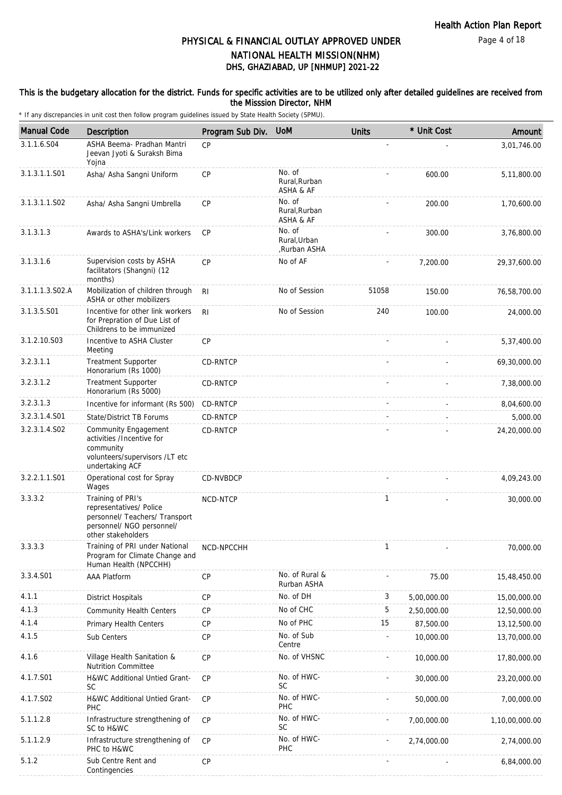### This is the budgetary allocation for the district. Funds for specific activities are to be utilized only after detailed guidelines are received from the Misssion Director, NHM

| <b>Manual Code</b> | Description                                                                                                                       | Program Sub Div. | <b>UoM</b>                            | <b>Units</b> | * Unit Cost | Amount         |
|--------------------|-----------------------------------------------------------------------------------------------------------------------------------|------------------|---------------------------------------|--------------|-------------|----------------|
| 3.1.1.6.S04        | ASHA Beema- Pradhan Mantri<br>Jeevan Jyoti & Suraksh Bima<br>Yojna                                                                | CP               |                                       |              |             | 3,01,746.00    |
| 3.1.3.1.1.S01      | Asha/ Asha Sangni Uniform                                                                                                         | CP               | No. of<br>Rural.Rurban<br>ASHA & AF   |              | 600.00      | 5,11,800.00    |
| 3.1.3.1.1.S02      | Asha/ Asha Sangni Umbrella                                                                                                        | CP               | No. of<br>Rural, Rurban<br>ASHA & AF  |              | 200.00      | 1,70,600.00    |
| 3.1.3.1.3          | Awards to ASHA's/Link workers                                                                                                     | <b>CP</b>        | No. of<br>Rural, Urban<br>Rurban ASHA |              | 300.00      | 3,76,800.00    |
| 3.1.3.1.6          | Supervision costs by ASHA<br>facilitators (Shangni) (12<br>months)                                                                | CP               | No of AF                              |              | 7,200.00    | 29,37,600.00   |
| 3.1.1.1.3.S02.A    | Mobilization of children through<br>ASHA or other mobilizers                                                                      | R <sub>l</sub>   | No of Session                         | 51058        | 150.00      | 76,58,700.00   |
| 3.1.3.5.S01        | Incentive for other link workers<br>for Prepration of Due List of<br>Childrens to be immunized                                    | RI.              | No of Session                         | 240          | 100.00      | 24,000.00      |
| 3.1.2.10.S03       | Incentive to ASHA Cluster<br>Meeting                                                                                              | <b>CP</b>        |                                       |              |             | 5,37,400.00    |
| 3.2.3.1.1          | Treatment Supporter<br>Honorarium (Rs 1000)                                                                                       | CD-RNTCP         |                                       |              |             | 69,30,000.00   |
| 3.2.3.1.2          | <b>Treatment Supporter</b><br>Honorarium (Rs 5000)                                                                                | CD-RNTCP         |                                       |              |             | 7,38,000.00    |
| 3.2.3.1.3          | Incentive for informant (Rs 500)                                                                                                  | CD-RNTCP         |                                       |              |             | 8,04,600.00    |
| 3.2.3.1.4.S01      | <b>State/District TB Forums</b>                                                                                                   | CD-RNTCP         |                                       |              |             | 5,000.00       |
| 3.2.3.1.4.S02      | <b>Community Engagement</b><br>activities /Incentive for<br>community<br>volunteers/supervisors /LT etc<br>undertaking ACF        | CD-RNTCP         |                                       |              |             | 24,20,000.00   |
| 3.2.2.1.1.S01      | Operational cost for Spray<br>Wages                                                                                               | CD-NVBDCP        |                                       |              |             | 4,09,243.00    |
| 3.3.3.2            | Training of PRI's<br>representatives/ Police<br>personnel/ Teachers/ Transport<br>personnel/ NGO personnel/<br>other stakeholders | NCD-NTCP         |                                       | $\mathbf{1}$ |             | 30,000.00      |
| 3.3.3.3            | Training of PRI under National<br>Program for Climate Change and<br>Human Health (NPCCHH)                                         | NCD-NPCCHH       |                                       | 1            |             | 70,000.00      |
| 3.3.4.S01          | AAA Platform                                                                                                                      | CP               | No. of Rural &<br>Rurban ASHA         |              | 75.00       | 15,48,450.00   |
| 4.1.1              | <b>District Hospitals</b>                                                                                                         | <b>CP</b>        | No. of DH                             | 3            | 5,00,000.00 | 15,00,000.00   |
| 4.1.3              | <b>Community Health Centers</b>                                                                                                   | CP               | No of CHC                             | 5            | 2,50,000.00 | 12,50,000.00   |
| 4.1.4              | <b>Primary Health Centers</b>                                                                                                     | <b>CP</b>        | No of PHC                             | 15           | 87,500.00   | 13,12,500.00   |
| 4.1.5              | Sub Centers                                                                                                                       | CP               | No. of Sub<br>Centre                  |              | 10,000.00   | 13,70,000.00   |
| 4.1.6              | Village Health Sanitation &<br><b>Nutrition Committee</b>                                                                         | <b>CP</b>        | No. of VHSNC                          |              | 10,000.00   | 17,80,000.00   |
| 4.1.7.S01          | H&WC Additional Untied Grant-<br><b>SC</b>                                                                                        | CP               | No. of HWC-<br><b>SC</b>              |              | 30,000.00   | 23,20,000.00   |
| 4.1.7.S02          | H&WC Additional Untied Grant-<br>PHC                                                                                              | CP               | No. of HWC-<br>PHC                    |              | 50,000.00   | 7,00,000.00    |
| 5.1.1.2.8          | Infrastructure strengthening of<br>SC to H&WC                                                                                     | CP               | No. of HWC-<br><b>SC</b>              |              | 7,00,000.00 | 1,10,00,000.00 |
| 5.1.1.2.9          | Infrastructure strengthening of<br>PHC to H&WC                                                                                    | CP               | No. of HWC-<br>PHC                    |              | 2,74,000.00 | 2,74,000.00    |
| 5.1.2              | Sub Centre Rent and<br>Contingencies                                                                                              | CP               |                                       |              |             | 6,84,000.00    |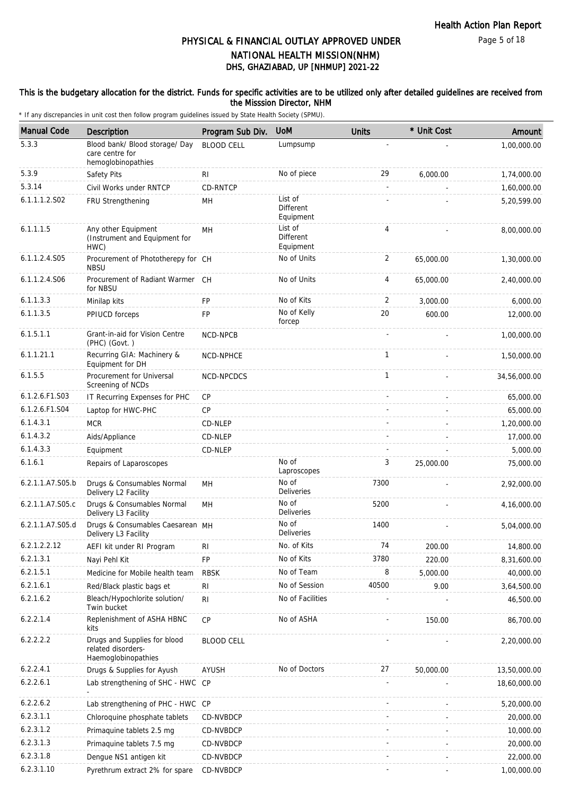### This is the budgetary allocation for the district. Funds for specific activities are to be utilized only after detailed guidelines are received from the Misssion Director, NHM

| <b>Manual Code</b> | Description                                                               | Program Sub Div.  | <b>UoM</b>                               | <b>Units</b>             | * Unit Cost | Amount       |
|--------------------|---------------------------------------------------------------------------|-------------------|------------------------------------------|--------------------------|-------------|--------------|
| 5.3.3              | Blood bank/ Blood storage/ Day<br>care centre for<br>hemoglobinopathies   | <b>BLOOD CELL</b> | Lumpsump                                 |                          |             | 1,00,000.00  |
| 5.3.9              | Safety Pits                                                               | RI                | No of piece                              | 29                       | 6,000.00    | 1,74,000.00  |
| 5.3.14             | Civil Works under RNTCP                                                   | CD-RNTCP          |                                          | $\overline{\phantom{a}}$ |             | 1,60,000.00  |
| 6.1.1.1.2.S02      | FRU Strengthening                                                         | MН                | List of<br><b>Different</b><br>Equipment |                          |             | 5,20,599.00  |
| 6.1.1.1.5          | Any other Equipment<br>(Instrument and Equipment for<br>HWC)              | MH                | List of<br>Different<br>Equipment        | 4                        |             | 8,00,000.00  |
| 6.1.1.2.4.S05      | Procurement of Phototherepy for CH<br><b>NBSU</b>                         |                   | No of Units                              | 2                        | 65,000.00   | 1,30,000.00  |
| 6.1.1.2.4.S06      | Procurement of Radiant Warmer CH<br>for NBSU                              |                   | No of Units                              | 4                        | 65,000.00   | 2,40,000.00  |
| 6.1.1.3.3          | Minilap kits                                                              | FP                | No of Kits                               | 2                        | 3,000.00    | 6,000.00     |
| 6.1.1.3.5          | PPIUCD forceps                                                            | FP                | No of Kelly<br>forcep                    | 20                       | 600.00      | 12,000.00    |
| 6.1.5.1.1          | Grant-in-aid for Vision Centre<br>(PHC) (Govt.)                           | NCD-NPCB          |                                          |                          |             | 1,00,000.00  |
| 6.1.1.21.1         | Recurring GIA: Machinery &<br>Equipment for DH                            | NCD-NPHCE         |                                          | 1                        |             | 1,50,000.00  |
| 6.1.5.5            | Procurement for Universal<br>Screening of NCDs                            | NCD-NPCDCS        |                                          | $\mathbf{1}$             |             | 34,56,000.00 |
| 6.1.2.6.F1.S03     | IT Recurring Expenses for PHC                                             | CP                |                                          |                          |             | 65,000.00    |
| 6.1.2.6.F1.S04     | Laptop for HWC-PHC                                                        | CP                |                                          |                          |             | 65,000.00    |
| 6.1.4.3.1          | <b>MCR</b>                                                                | CD-NLEP           |                                          |                          |             | 1,20,000.00  |
| 6.1.4.3.2          | Aids/Appliance                                                            | CD-NLEP           |                                          |                          |             | 17,000.00    |
| 6.1.4.3.3          | Equipment                                                                 | CD-NLEP           |                                          |                          |             | 5,000.00     |
| 6.1.6.1            | Repairs of Laparoscopes                                                   |                   | No of<br>Laproscopes                     | 3                        | 25,000.00   | 75,000.00    |
| 6.2.1.1.A7.S05.b   | Drugs & Consumables Normal<br>Delivery L2 Facility                        | <b>MH</b>         | No of<br>Deliveries                      | 7300                     |             | 2,92,000.00  |
| 6.2.1.1.A7.S05.c   | Drugs & Consumables Normal<br>Delivery L3 Facility                        | MH                | No of<br><b>Deliveries</b>               | 5200                     |             | 4,16,000.00  |
| 6.2.1.1.A7.S05.d   | Drugs & Consumables Caesarean MH<br>Delivery L3 Facility                  |                   | No of<br>Deliveries                      | 1400                     |             | 5,04,000.00  |
| 6.2.1.2.2.12       | AEFI kit under RI Program                                                 | RI                | No. of Kits                              | 74                       | 200.00      | 14,800.00    |
| 6.2.1.3.1          | Nayi Pehl Kit                                                             | FP                | No of Kits                               | 3780                     | 220.00      | 8,31,600.00  |
| 6.2.1.5.1          | Medicine for Mobile health team                                           | <b>RBSK</b>       | No of Team                               | 8                        | 5,000.00    | 40,000.00    |
| 6.2.1.6.1          | Red/Black plastic bags et                                                 | R <sub>l</sub>    | No of Session                            | 40500                    | 9.00        | 3,64,500.00  |
| 6.2.1.6.2          | Bleach/Hypochlorite solution/<br>Twin bucket                              | R <sub>l</sub>    | No of Facilities                         |                          |             | 46,500.00    |
| 6.2.2.1.4          | Replenishment of ASHA HBNC<br>kits                                        | <b>CP</b>         | No of ASHA                               |                          | 150.00      | 86,700.00    |
| 6.2.2.2.2          | Drugs and Supplies for blood<br>related disorders-<br>Haemoglobinopathies | <b>BLOOD CELL</b> |                                          |                          |             | 2,20,000.00  |
| 6.2.2.4.1          | Drugs & Supplies for Ayush                                                | AYUSH             | No of Doctors                            | 27                       | 50,000.00   | 13,50,000.00 |
| 6.2.2.6.1          | Lab strengthening of SHC - HWC                                            | CP                |                                          |                          |             | 18,60,000.00 |
| 6.2.2.6.2          | Lab strengthening of PHC - HWC CP                                         |                   |                                          |                          |             | 5,20,000.00  |
| 6.2.3.1.1          | Chloroquine phosphate tablets                                             | CD-NVBDCP         |                                          |                          |             | 20,000.00    |
| 6.2.3.1.2          | Primaquine tablets 2.5 mg                                                 | CD-NVBDCP         |                                          |                          |             | 10,000.00    |
| 6.2.3.1.3          | Primaguine tablets 7.5 mg                                                 | CD-NVBDCP         |                                          |                          |             | 20,000.00    |
| 6.2.3.1.8          | Dengue NS1 antigen kit                                                    | CD-NVBDCP         |                                          |                          |             | 22,000.00    |
| 6.2.3.1.10         | Pyrethrum extract 2% for spare                                            | CD-NVBDCP         |                                          |                          |             | 1,00,000.00  |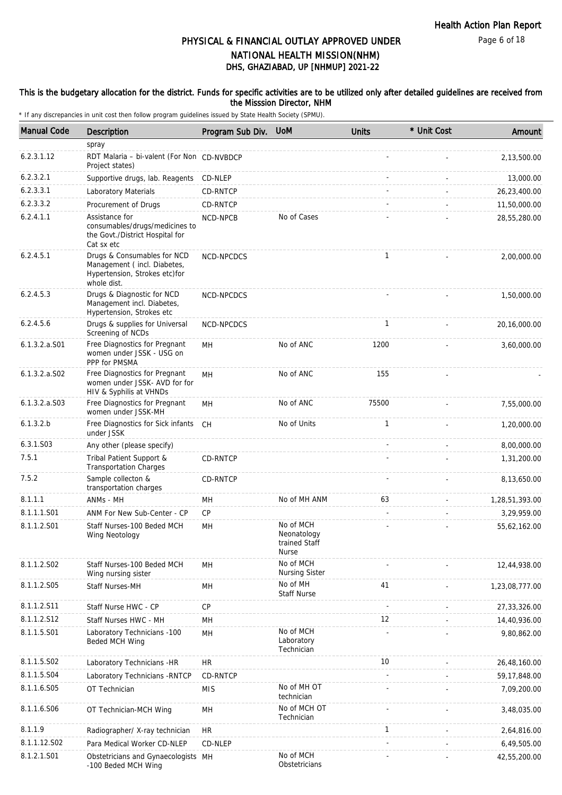Page 6 of 18

## DHS, GHAZIABAD, UP [NHMUP] 2021-22 PHYSICAL & FINANCIAL OUTLAY APPROVED UNDER NATIONAL HEALTH MISSION(NHM)

### This is the budgetary allocation for the district. Funds for specific activities are to be utilized only after detailed guidelines are received from the Misssion Director, NHM

| <b>Manual Code</b> | Description                                                                                                | Program Sub Div. | <b>UoM</b>                                                | <b>Units</b> | * Unit Cost | Amount         |
|--------------------|------------------------------------------------------------------------------------------------------------|------------------|-----------------------------------------------------------|--------------|-------------|----------------|
|                    | spray                                                                                                      |                  |                                                           |              |             |                |
| 6.2.3.1.12         | RDT Malaria - bi-valent (For Non CD-NVBDCP<br>Project states)                                              |                  |                                                           |              |             | 2,13,500.00    |
| 6.2.3.2.1          | Supportive drugs, lab. Reagents                                                                            | CD-NLEP          |                                                           |              |             | 13,000.00      |
| 6.2.3.3.1          | Laboratory Materials                                                                                       | CD-RNTCP         |                                                           |              |             | 26,23,400.00   |
| 6.2.3.3.2          | Procurement of Drugs                                                                                       | CD-RNTCP         |                                                           |              |             | 11,50,000.00   |
| 6.2.4.1.1          | Assistance for<br>consumables/drugs/medicines to<br>the Govt./District Hospital for<br>Cat sx etc          | <b>NCD-NPCB</b>  | No of Cases                                               |              |             | 28,55,280.00   |
| 6.2.4.5.1          | Drugs & Consumables for NCD<br>Management (incl. Diabetes,<br>Hypertension, Strokes etc)for<br>whole dist. | NCD-NPCDCS       |                                                           | 1            |             | 2,00,000.00    |
| 6.2.4.5.3          | Drugs & Diagnostic for NCD<br>Management incl. Diabetes,<br>Hypertension, Strokes etc                      | NCD-NPCDCS       |                                                           |              |             | 1,50,000.00    |
| 6.2.4.5.6          | Drugs & supplies for Universal<br>Screening of NCDs                                                        | NCD-NPCDCS       |                                                           | $\mathbf{1}$ |             | 20,16,000.00   |
| $6.1.3.2.a.$ S01   | Free Diagnostics for Pregnant<br>women under JSSK - USG on<br>PPP for PMSMA                                | MH               | No of ANC                                                 | 1200         |             | 3,60,000.00    |
| 6.1.3.2.a.S02      | Free Diagnostics for Pregnant<br>women under JSSK- AVD for for<br>HIV & Syphilis at VHNDs                  | MН               | No of ANC                                                 | 155          |             |                |
| 6.1.3.2.a. S03     | Free Diagnostics for Pregnant<br>women under JSSK-MH                                                       | MН               | No of ANC                                                 | 75500        |             | 7,55,000.00    |
| 6.1.3.2.b          | Free Diagnostics for Sick infants<br>under JSSK                                                            | CH               | No of Units                                               | 1            |             | 1,20,000.00    |
| 6.3.1.S03          | Any other (please specify)                                                                                 |                  |                                                           |              |             | 8,00,000.00    |
| 7.5.1              | Tribal Patient Support &<br><b>Transportation Charges</b>                                                  | CD-RNTCP         |                                                           |              |             | 1,31,200.00    |
| 7.5.2              | Sample collecton &<br>transportation charges                                                               | CD-RNTCP         |                                                           |              |             | 8,13,650.00    |
| 8.1.1.1            | ANMs - MH                                                                                                  | MН               | No of MH ANM                                              | 63           |             | 1,28,51,393.00 |
| 8.1.1.1.S01        | ANM For New Sub-Center - CP                                                                                | CP               |                                                           |              |             | 3,29,959.00    |
| 8.1.1.2.S01        | Staff Nurses-100 Beded MCH<br>Wing Neotology                                                               | MH               | No of MCH<br>Neonatology<br>trained Staff<br><b>Nurse</b> |              |             | 55,62,162.00   |
| 8.1.1.2.S02        | Staff Nurses-100 Beded MCH<br>Wing nursing sister                                                          | MH               | No of MCH<br><b>Nursing Sister</b>                        |              |             | 12,44,938.00   |
| 8.1.1.2.S05        | Staff Nurses-MH                                                                                            | MH               | No of MH<br><b>Staff Nurse</b>                            | 41           |             | 1,23,08,777.00 |
| 8.1.1.2.S11        | Staff Nurse HWC - CP                                                                                       | CP               |                                                           |              |             | 27,33,326.00   |
| 8.1.1.2.S12        | Staff Nurses HWC - MH                                                                                      | MH               |                                                           | 12           |             | 14,40,936.00   |
| 8.1.1.5.S01        | Laboratory Technicians -100<br>Beded MCH Wing                                                              | MH               | No of MCH<br>Laboratory<br>Technician                     |              |             | 9,80,862.00    |
| 8.1.1.5.S02        | Laboratory Technicians -HR                                                                                 | <b>HR</b>        |                                                           | 10           |             | 26,48,160.00   |
| 8.1.1.5.S04        | Laboratory Technicians - RNTCP                                                                             | CD-RNTCP         |                                                           |              |             | 59,17,848.00   |
| 8.1.1.6.S05        | OT Technician                                                                                              | <b>MIS</b>       | No of MH OT<br>technician                                 |              |             | 7,09,200.00    |
| 8.1.1.6.S06        | OT Technician-MCH Wing                                                                                     | MН               | No of MCH OT<br>Technician                                |              |             | 3,48,035.00    |
| 8.1.1.9            | Radiographer/ X-ray technician                                                                             | <b>HR</b>        |                                                           | 1            |             | 2,64,816.00    |
| 8.1.1.12.S02       | Para Medical Worker CD-NLEP                                                                                | CD-NLEP          |                                                           |              |             | 6,49,505.00    |
| 8.1.2.1.S01        | Obstetricians and Gynaecologists MH<br>-100 Beded MCH Wing                                                 |                  | No of MCH<br>Obstetricians                                |              |             | 42,55,200.00   |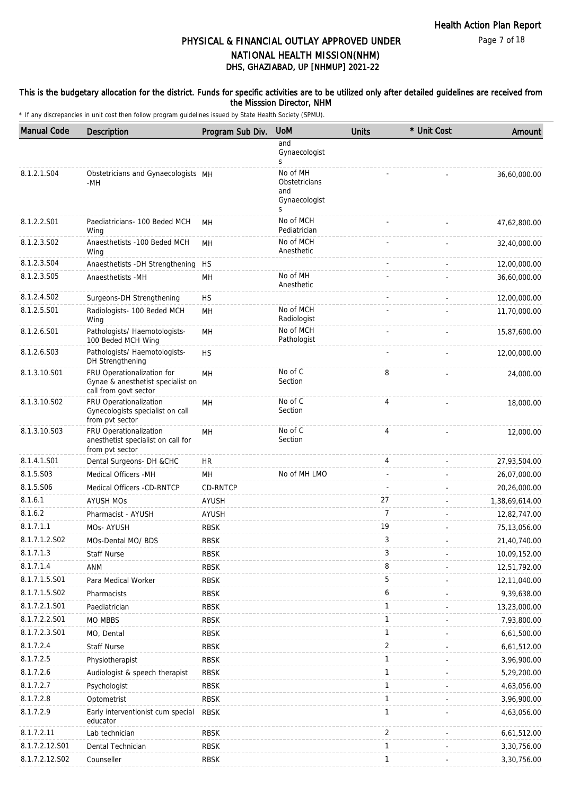### This is the budgetary allocation for the district. Funds for specific activities are to be utilized only after detailed guidelines are received from the Misssion Director, NHM

| <b>Manual Code</b> | Description                                                                              | Program Sub Div. | <b>UoM</b>                                             | <b>Units</b>   | * Unit Cost | Amount         |
|--------------------|------------------------------------------------------------------------------------------|------------------|--------------------------------------------------------|----------------|-------------|----------------|
|                    |                                                                                          |                  | and<br>Gynaecologist<br>S                              |                |             |                |
| 8.1.2.1.S04        | Obstetricians and Gynaecologists MH<br>-MH                                               |                  | No of MH<br>Obstetricians<br>and<br>Gynaecologist<br>S |                |             | 36,60,000.00   |
| 8.1.2.2.S01        | Paediatricians- 100 Beded MCH<br>Wing                                                    | <b>MH</b>        | No of MCH<br>Pediatrician                              |                |             | 47,62,800.00   |
| 8.1.2.3.S02        | Anaesthetists -100 Beded MCH<br>Wing                                                     | MH               | No of MCH<br>Anesthetic                                |                |             | 32,40,000.00   |
| 8.1.2.3.S04        | Anaesthetists - DH Strengthening                                                         | HS               |                                                        |                |             | 12,00,000.00   |
| 8.1.2.3.S05        | Anaesthetists -MH                                                                        | MH               | No of MH<br>Anesthetic                                 |                |             | 36,60,000.00   |
| 8.1.2.4.S02        | Surgeons-DH Strengthening                                                                | <b>HS</b>        |                                                        |                |             | 12,00,000.00   |
| 8.1.2.5.S01        | Radiologists- 100 Beded MCH<br>Wing                                                      | MH               | No of MCH<br>Radiologist                               |                |             | 11,70,000.00   |
| 8.1.2.6.S01        | Pathologists/ Haemotologists-<br>100 Beded MCH Wing                                      | MН               | No of MCH<br>Pathologist                               |                |             | 15,87,600.00   |
| 8.1.2.6.S03        | Pathologists/ Haemotologists-<br>DH Strengthening                                        | <b>HS</b>        |                                                        |                |             | 12,00,000.00   |
| 8.1.3.10.S01       | FRU Operationalization for<br>Gynae & anesthetist specialist on<br>call from govt sector | MH               | No of C<br>Section                                     | 8              |             | 24,000.00      |
| 8.1.3.10.S02       | FRU Operationalization<br>Gynecologists specialist on call<br>from pvt sector            | MH               | No of C<br>Section                                     | 4              |             | 18,000.00      |
| 8.1.3.10.S03       | FRU Operationalization<br>anesthetist specialist on call for<br>from pvt sector          | MH               | No of C<br>Section                                     | 4              |             | 12,000.00      |
| 8.1.4.1.S01        | Dental Surgeons- DH &CHC                                                                 | HR.              |                                                        | 4              |             | 27,93,504.00   |
| 8.1.5.S03          | Medical Officers - MH                                                                    | MН               | No of MH LMO                                           | $\sim$         |             | 26,07,000.00   |
| 8.1.5.S06          | Medical Officers -CD-RNTCP                                                               | CD-RNTCP         |                                                        |                |             | 20,26,000.00   |
| 8.1.6.1            | <b>AYUSH MOS</b>                                                                         | <b>AYUSH</b>     |                                                        | 27             |             | 1,38,69,614.00 |
| 8.1.6.2            | Pharmacist - AYUSH                                                                       | AYUSH            |                                                        | 7              |             | 12,82,747.00   |
| 8.1.7.1.1          | MOs- AYUSH                                                                               | <b>RBSK</b>      |                                                        | 19             |             | 75,13,056.00   |
| 8.1.7.1.2.S02      | MOs-Dental MO/ BDS                                                                       | <b>RBSK</b>      |                                                        | 3              |             | 21,40,740.00   |
| 8.1.7.1.3          | <b>Staff Nurse</b>                                                                       | <b>RBSK</b>      |                                                        | 3              |             | 10,09,152.00   |
| 8.1.7.1.4          | ANM                                                                                      | <b>RBSK</b>      |                                                        | 8              |             | 12,51,792.00   |
| 8.1.7.1.5.S01      | Para Medical Worker                                                                      | <b>RBSK</b>      |                                                        | 5              |             | 12, 11, 040.00 |
| 8.1.7.1.5.S02      | Pharmacists                                                                              | <b>RBSK</b>      |                                                        | 6              |             | 9,39,638.00    |
| 8.1.7.2.1.S01      | Paediatrician                                                                            | <b>RBSK</b>      |                                                        | $\mathbf{1}$   |             | 13,23,000.00   |
| 8.1.7.2.2.S01      | <b>MO MBBS</b>                                                                           | <b>RBSK</b>      |                                                        | $\mathbf{1}$   |             | 7,93,800.00    |
| 8.1.7.2.3.S01      | MO, Dental                                                                               | <b>RBSK</b>      |                                                        | 1              |             | 6,61,500.00    |
| 8.1.7.2.4          | <b>Staff Nurse</b>                                                                       | <b>RBSK</b>      |                                                        | $\overline{2}$ |             | 6,61,512.00    |
| 8.1.7.2.5          | Physiotherapist                                                                          | <b>RBSK</b>      |                                                        | $\mathbf{1}$   |             | 3,96,900.00    |
| 8.1.7.2.6          | Audiologist & speech therapist                                                           | <b>RBSK</b>      |                                                        | $\mathbf{1}$   |             | 5,29,200.00    |
| 8.1.7.2.7          | Psychologist                                                                             | <b>RBSK</b>      |                                                        | $\mathbf{1}$   |             | 4,63,056.00    |
| 8.1.7.2.8          | Optometrist                                                                              | <b>RBSK</b>      |                                                        | $\mathbf{1}$   |             | 3,96,900.00    |
| 8.1.7.2.9          | Early interventionist cum special<br>educator                                            | <b>RBSK</b>      |                                                        | 1              |             | 4,63,056.00    |
| 8.1.7.2.11         | Lab technician                                                                           | <b>RBSK</b>      |                                                        | 2              |             | 6,61,512.00    |
| 8.1.7.2.12.S01     | Dental Technician                                                                        | <b>RBSK</b>      |                                                        | $\mathbf{1}$   |             | 3,30,756.00    |
| 8.1.7.2.12.S02     | Counseller                                                                               | <b>RBSK</b>      |                                                        | $\mathbf{1}$   |             | 3,30,756.00    |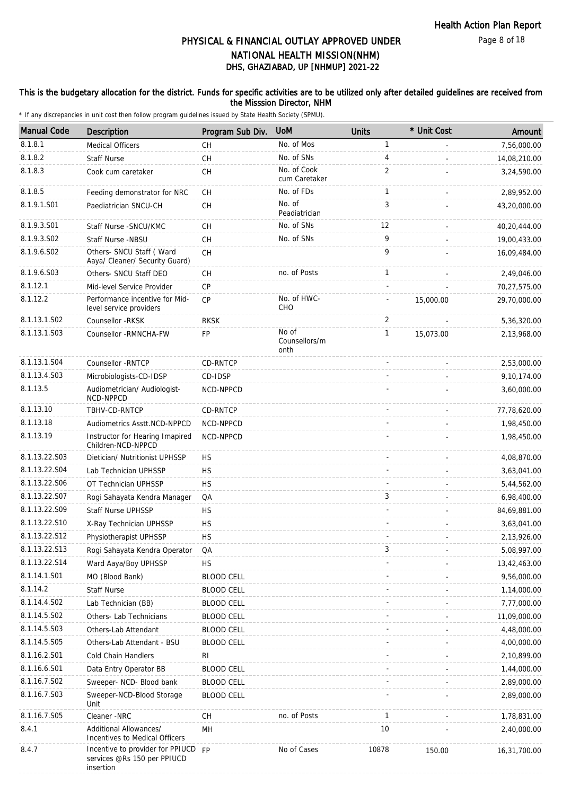### This is the budgetary allocation for the district. Funds for specific activities are to be utilized only after detailed guidelines are received from the Misssion Director, NHM

| <b>Manual Code</b> | Description                                                                  | Program Sub Div.  | <b>UoM</b>                     | <b>Units</b> | * Unit Cost | Amount       |
|--------------------|------------------------------------------------------------------------------|-------------------|--------------------------------|--------------|-------------|--------------|
| 8.1.8.1            | <b>Medical Officers</b>                                                      | CH                | No. of Mos                     | $\mathbf{1}$ |             | 7,56,000.00  |
| 8.1.8.2            | <b>Staff Nurse</b>                                                           | СH                | No. of SNs                     | 4            |             | 14,08,210.00 |
| 8.1.8.3            | Cook cum caretaker                                                           | CH                | No. of Cook<br>cum Caretaker   | 2            |             | 3,24,590.00  |
| 8.1.8.5            | Feeding demonstrator for NRC                                                 | СH                | No. of FDs                     | 1            |             | 2,89,952.00  |
| 8.1.9.1.S01        | Paediatrician SNCU-CH                                                        | CH                | No. of<br>Peadiatrician        | 3            |             | 43,20,000.00 |
| 8.1.9.3.S01        | Staff Nurse - SNCU/KMC                                                       | CН                | No. of SNs                     | 12           |             | 40,20,444.00 |
| 8.1.9.3.S02        | Staff Nurse -NBSU                                                            | <b>CH</b>         | No. of SNs                     | 9            |             | 19,00,433.00 |
| 8.1.9.6.S02        | Others- SNCU Staff (Ward<br>Aaya/ Cleaner/ Security Guard)                   | CH                |                                | 9            |             | 16,09,484.00 |
| 8.1.9.6.S03        | Others- SNCU Staff DEO                                                       | <b>CH</b>         | no. of Posts                   | $\mathbf{1}$ |             | 2,49,046.00  |
| 8.1.12.1           | Mid-level Service Provider                                                   | CP                |                                |              |             | 70,27,575.00 |
| 8.1.12.2           | Performance incentive for Mid-<br>level service providers                    | <b>CP</b>         | No. of HWC-<br>CHO             |              | 15,000.00   | 29,70,000.00 |
| 8.1.13.1.S02       | Counsellor -RKSK                                                             | <b>RKSK</b>       |                                | 2            |             | 5,36,320.00  |
| 8.1.13.1.S03       | Counsellor - RMNCHA-FW                                                       | FP                | No of<br>Counsellors/m<br>onth | $\mathbf{1}$ | 15,073.00   | 2,13,968.00  |
| 8.1.13.1.S04       | Counsellor - RNTCP                                                           | CD-RNTCP          |                                |              |             | 2,53,000.00  |
| 8.1.13.4.S03       | Microbiologists-CD-IDSP                                                      | CD-IDSP           |                                |              |             | 9,10,174.00  |
| 8.1.13.5           | Audiometrician/ Audiologist-<br>NCD-NPPCD                                    | NCD-NPPCD         |                                |              |             | 3,60,000.00  |
| 8.1.13.10          | TBHV-CD-RNTCP                                                                | CD-RNTCP          |                                |              |             | 77,78,620.00 |
| 8.1.13.18          | Audiometrics Asstt.NCD-NPPCD                                                 | NCD-NPPCD         |                                |              |             | 1,98,450.00  |
| 8.1.13.19          | Instructor for Hearing Imapired<br>Children-NCD-NPPCD                        | NCD-NPPCD         |                                |              |             | 1,98,450.00  |
| 8.1.13.22.S03      | Dietician/ Nutritionist UPHSSP                                               | <b>HS</b>         |                                |              |             | 4,08,870.00  |
| 8.1.13.22.S04      | Lab Technician UPHSSP                                                        | <b>HS</b>         |                                |              |             | 3,63,041.00  |
| 8.1.13.22.S06      | OT Technician UPHSSP                                                         | <b>HS</b>         |                                |              |             | 5,44,562.00  |
| 8.1.13.22.S07      | Rogi Sahayata Kendra Manager                                                 | QA                |                                | 3            |             | 6,98,400.00  |
| 8.1.13.22.S09      | Staff Nurse UPHSSP                                                           | <b>HS</b>         |                                |              |             | 84,69,881.00 |
| 8.1.13.22.S10      | X-Ray Technician UPHSSP                                                      | <b>HS</b>         |                                |              |             | 3,63,041.00  |
| 8.1.13.22.S12      | Physiotherapist UPHSSP                                                       | HS                |                                |              |             | 2,13,926.00  |
| 8.1.13.22.S13      | Rogi Sahayata Kendra Operator                                                | QA                |                                | 3            |             | 5,08,997.00  |
| 8.1.13.22.S14      | Ward Aaya/Boy UPHSSP                                                         | <b>HS</b>         |                                |              |             | 13,42,463.00 |
| 8.1.14.1.S01       | MO (Blood Bank)                                                              | <b>BLOOD CELL</b> |                                |              |             | 9,56,000.00  |
| 8.1.14.2           | <b>Staff Nurse</b>                                                           | <b>BLOOD CELL</b> |                                |              |             | 1,14,000.00  |
| 8.1.14.4.S02       | Lab Technician (BB)                                                          | <b>BLOOD CELL</b> |                                |              |             | 7,77,000.00  |
| 8.1.14.5.S02       | Others- Lab Technicians                                                      | <b>BLOOD CELL</b> |                                |              |             | 11,09,000.00 |
| 8.1.14.5.S03       | Others-Lab Attendant                                                         | <b>BLOOD CELL</b> |                                |              |             | 4,48,000.00  |
| 8.1.14.5.S05       | Others-Lab Attendant - BSU                                                   | <b>BLOOD CELL</b> |                                |              |             | 4,00,000.00  |
| 8.1.16.2.S01       | Cold Chain Handlers                                                          | RI.               |                                |              |             | 2,10,899.00  |
| 8.1.16.6.S01       | Data Entry Operator BB                                                       | <b>BLOOD CELL</b> |                                |              |             | 1,44,000.00  |
| 8.1.16.7.S02       | Sweeper- NCD- Blood bank                                                     | <b>BLOOD CELL</b> |                                |              |             | 2,89,000.00  |
| 8.1.16.7.S03       | Sweeper-NCD-Blood Storage<br>Unit                                            | <b>BLOOD CELL</b> |                                |              |             | 2,89,000.00  |
| 8.1.16.7.S05       | Cleaner -NRC                                                                 | СH                | no. of Posts                   | $\mathbf{1}$ |             | 1,78,831.00  |
| 8.4.1              | Additional Allowances/<br>Incentives to Medical Officers                     | MH                |                                | 10           |             | 2,40,000.00  |
| 8.4.7              | Incentive to provider for PPIUCD<br>services @Rs 150 per PPIUCD<br>insertion | <b>FP</b>         | No of Cases                    | 10878        | 150.00      | 16,31,700.00 |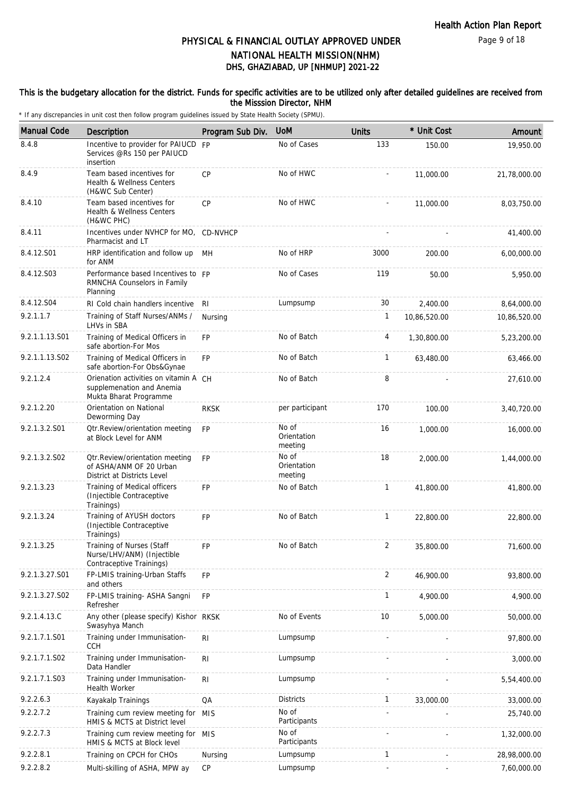Page 9 of 18

## DHS, GHAZIABAD, UP [NHMUP] 2021-22 PHYSICAL & FINANCIAL OUTLAY APPROVED UNDER NATIONAL HEALTH MISSION(NHM)

### This is the budgetary allocation for the district. Funds for specific activities are to be utilized only after detailed guidelines are received from the Misssion Director, NHM

| <b>Manual Code</b> | <b>Description</b>                                                                              | Program Sub Div. | <b>UoM</b>                      | <b>Units</b>   | * Unit Cost  | Amount       |
|--------------------|-------------------------------------------------------------------------------------------------|------------------|---------------------------------|----------------|--------------|--------------|
| 8.4.8              | Incentive to provider for PAIUCD<br>Services @Rs 150 per PAIUCD<br>insertion                    | FP               | No of Cases                     | 133            | 150.00       | 19,950.00    |
| 8.4.9              | Team based incentives for<br>Health & Wellness Centers<br>(H&WC Sub Center)                     | CP               | No of HWC                       |                | 11,000.00    | 21,78,000.00 |
| 8.4.10             | Team based incentives for<br>Health & Wellness Centers<br>(H&WC PHC)                            | <b>CP</b>        | No of HWC                       |                | 11,000.00    | 8,03,750.00  |
| 8.4.11             | Incentives under NVHCP for MO, CD-NVHCP<br>Pharmacist and LT                                    |                  |                                 |                |              | 41,400.00    |
| 8.4.12.S01         | HRP identification and follow up<br>for ANM                                                     | MH               | No of HRP                       | 3000           | 200.00       | 6,00,000.00  |
| 8.4.12.S03         | Performance based Incentives to FP<br>RMNCHA Counselors in Family<br>Planning                   |                  | No of Cases                     | 119            | 50.00        | 5,950.00     |
| 8.4.12.S04         | RI Cold chain handlers incentive                                                                | RI               | Lumpsump                        | 30             | 2,400.00     | 8,64,000.00  |
| 9.2.1.1.7          | Training of Staff Nurses/ANMs /<br>LHVs in SBA                                                  | Nursing          |                                 | 1              | 10,86,520.00 | 10,86,520.00 |
| 9.2.1.1.13.S01     | Training of Medical Officers in<br>safe abortion-For Mos                                        | <b>FP</b>        | No of Batch                     | 4              | 1,30,800.00  | 5,23,200.00  |
| 9.2.1.1.13.S02     | Training of Medical Officers in<br>safe abortion-For Obs&Gynae                                  | <b>FP</b>        | No of Batch                     | $\mathbf{1}$   | 63,480.00    | 63,466.00    |
| 9.2.1.2.4          | Orienation activities on vitamin A CH<br>supplemenation and Anemia<br>Mukta Bharat Programme    |                  | No of Batch                     | 8              |              | 27,610.00    |
| 9.2.1.2.20         | Orientation on National<br>Deworming Day                                                        | <b>RKSK</b>      | per participant                 | 170            | 100.00       | 3,40,720.00  |
| 9.2.1.3.2.S01      | Otr.Review/orientation meeting<br>at Block Level for ANM                                        | <b>FP</b>        | No of<br>Orientation<br>meeting | 16             | 1,000.00     | 16,000.00    |
| 9.2.1.3.2.S02      | <b>Qtr.Review/orientation meeting</b><br>of ASHA/ANM OF 20 Urban<br>District at Districts Level | <b>FP</b>        | No of<br>Orientation<br>meeting | 18             | 2,000.00     | 1,44,000.00  |
| 9.2.1.3.23         | Training of Medical officers<br>(Injectible Contraceptive<br>Trainings)                         | FP.              | No of Batch                     | $\mathbf{1}$   | 41,800.00    | 41,800.00    |
| 9.2.1.3.24         | Training of AYUSH doctors<br>(Injectible Contraceptive<br>Trainings)                            | <b>FP</b>        | No of Batch                     | $\mathbf{1}$   | 22,800.00    | 22,800.00    |
| 9.2.1.3.25         | Training of Nurses (Staff<br>Nurse/LHV/ANM) (Injectible<br>Contraceptive Trainings)             | FP               | No of Batch                     | $\overline{2}$ | 35,800.00    | 71,600.00    |
| 9.2.1.3.27.S01     | FP-LMIS training-Urban Staffs<br>and others                                                     | FP               |                                 | $\overline{2}$ | 46.900.00    | 93,800.00    |
| 9.2.1.3.27.S02     | FP-LMIS training- ASHA Sangni<br>Refresher                                                      | <b>FP</b>        |                                 | 1              | 4,900.00     | 4,900.00     |
| 9.2.1.4.13.C       | Any other (please specify) Kishor RKSK<br>Swasyhya Manch                                        |                  | No of Events                    | 10             | 5,000.00     | 50,000.00    |
| 9.2.1.7.1.S01      | Training under Immunisation-<br><b>CCH</b>                                                      | R <sub>l</sub>   | Lumpsump                        |                |              | 97,800.00    |
| 9.2.1.7.1.S02      | Training under Immunisation-<br>Data Handler                                                    | R <sub>l</sub>   | Lumpsump                        |                |              | 3,000.00     |
| 9.2.1.7.1.S03      | Training under Immunisation-<br>Health Worker                                                   | R <sub>l</sub>   | Lumpsump                        |                |              | 5,54,400.00  |
| 9.2.2.6.3          | Kayakalp Trainings                                                                              | QA               | <b>Districts</b>                | $\mathbf{1}$   | 33,000.00    | 33,000.00    |
| 9.2.2.7.2          | Training cum review meeting for<br>HMIS & MCTS at District level                                | <b>MIS</b>       | No of<br>Participants           |                |              | 25,740.00    |
| 9.2.2.7.3          | Training cum review meeting for MIS<br>HMIS & MCTS at Block level                               |                  | No of<br>Participants           |                |              | 1,32,000.00  |
| 9.2.2.8.1          | Training on CPCH for CHOs                                                                       | Nursing          | Lumpsump                        | $\mathbf{1}$   |              | 28,98,000.00 |
| 9.2.2.8.2          | Multi-skilling of ASHA, MPW ay                                                                  | CP               | Lumpsump                        |                |              | 7,60,000.00  |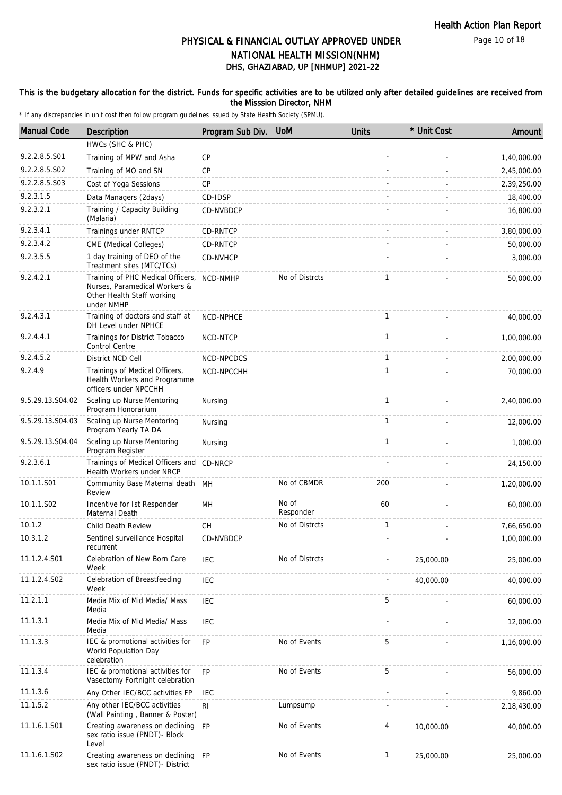Page 10 of 18

# DHS, GHAZIABAD, UP [NHMUP] 2021-22 PHYSICAL & FINANCIAL OUTLAY APPROVED UNDER NATIONAL HEALTH MISSION(NHM)

### This is the budgetary allocation for the district. Funds for specific activities are to be utilized only after detailed guidelines are received from the Misssion Director, NHM

| <b>Manual Code</b> | Description                                                                                                    | Program Sub Div. | <b>UoM</b>         | <b>Units</b> | * Unit Cost | Amount      |
|--------------------|----------------------------------------------------------------------------------------------------------------|------------------|--------------------|--------------|-------------|-------------|
|                    | HWCs (SHC & PHC)                                                                                               |                  |                    |              |             |             |
| 9.2.2.8.5.S01      | Training of MPW and Asha                                                                                       | CP               |                    |              |             | 1,40,000.00 |
| 9.2.2.8.5.S02      | Training of MO and SN                                                                                          | CP               |                    |              |             | 2,45,000.00 |
| 9.2.2.8.5.S03      | Cost of Yoga Sessions                                                                                          | <b>CP</b>        |                    |              |             | 2,39,250.00 |
| 9.2.3.1.5          | Data Managers (2days)                                                                                          | CD-IDSP          |                    |              |             | 18,400.00   |
| 9.2.3.2.1          | Training / Capacity Building<br>(Malaria)                                                                      | CD-NVBDCP        |                    |              |             | 16,800.00   |
| 9.2.3.4.1          | Trainings under RNTCP                                                                                          | CD-RNTCP         |                    |              |             | 3,80,000.00 |
| 9.2.3.4.2          | CME (Medical Colleges)                                                                                         | CD-RNTCP         |                    |              |             | 50,000.00   |
| 9.2.3.5.5          | 1 day training of DEO of the<br>Treatment sites (MTC/TCs)                                                      | CD-NVHCP         |                    |              |             | 3,000.00    |
| 9.2.4.2.1          | Training of PHC Medical Officers,<br>Nurses, Paramedical Workers &<br>Other Health Staff working<br>under NMHP | NCD-NMHP         | No of Distrcts     | 1            |             | 50,000.00   |
| 9.2.4.3.1          | Training of doctors and staff at<br>DH Level under NPHCE                                                       | NCD-NPHCE        |                    | 1            |             | 40,000.00   |
| 9.2.4.4.1          | Trainings for District Tobacco<br>Control Centre                                                               | NCD-NTCP         |                    | $\mathbf{1}$ |             | 1,00,000.00 |
| 9.2.4.5.2          | District NCD Cell                                                                                              | NCD-NPCDCS       |                    | $\mathbf{1}$ |             | 2,00,000.00 |
| 9.2.4.9            | Trainings of Medical Officers,<br>Health Workers and Programme<br>officers under NPCCHH                        | NCD-NPCCHH       |                    | $\mathbf{1}$ |             | 70,000.00   |
| 9.5.29.13.S04.02   | Scaling up Nurse Mentoring<br>Program Honorarium                                                               | Nursing          |                    | $\mathbf{1}$ |             | 2,40,000.00 |
| 9.5.29.13.S04.03   | Scaling up Nurse Mentoring<br>Program Yearly TA DA                                                             | Nursing          |                    | $\mathbf{1}$ |             | 12,000.00   |
| 9.5.29.13.S04.04   | Scaling up Nurse Mentoring<br>Program Register                                                                 | Nursing          |                    | $\mathbf{1}$ |             | 1,000.00    |
| 9.2.3.6.1          | Trainings of Medical Officers and CD-NRCP<br>Health Workers under NRCP                                         |                  |                    |              |             | 24,150.00   |
| 10.1.1.S01         | Community Base Maternal death MH<br>Review                                                                     |                  | No of CBMDR        | 200          |             | 1,20,000.00 |
| 10.1.1.S02         | Incentive for Ist Responder<br>Maternal Death                                                                  | MН               | No of<br>Responder | 60           |             | 60,000.00   |
| 10.1.2             | Child Death Review                                                                                             | <b>CH</b>        | No of Distrcts     | $\mathbf{1}$ |             | 7,66,650.00 |
| 10.3.1.2           | Sentinel surveillance Hospital<br>recurrent                                                                    | CD-NVBDCP        |                    |              |             | 1,00,000.00 |
| 11.1.2.4.S01       | Celebration of New Born Care<br>Week                                                                           | IEC              | No of Distrcts     |              | 25,000.00   | 25,000.00   |
| 11.1.2.4.S02       | Celebration of Breastfeeding<br>Week                                                                           | <b>IEC</b>       |                    |              | 40,000.00   | 40,000.00   |
| 11.2.1.1           | Media Mix of Mid Media/ Mass<br>Media                                                                          | <b>IEC</b>       |                    | 5            |             | 60,000.00   |
| 11.1.3.1           | Media Mix of Mid Media/ Mass<br>Media                                                                          | <b>IEC</b>       |                    |              |             | 12,000.00   |
| 11.1.3.3           | IEC & promotional activities for<br>World Population Day<br>celebration                                        | <b>FP</b>        | No of Events       | 5            |             | 1,16,000.00 |
| 11.1.3.4           | IEC & promotional activities for<br>Vasectomy Fortnight celebration                                            | <b>FP</b>        | No of Events       | 5            |             | 56,000.00   |
| 11.1.3.6           | Any Other IEC/BCC activities FP                                                                                | <b>IEC</b>       |                    |              |             | 9,860.00    |
| 11.1.5.2           | Any other IEC/BCC activities<br>(Wall Painting, Banner & Poster)                                               | $\mathsf{RI}$    | Lumpsump           |              |             | 2,18,430.00 |
| 11.1.6.1.S01       | Creating awareness on declining<br>sex ratio issue (PNDT)- Block<br>Level                                      | <b>FP</b>        | No of Events       | 4            | 10,000.00   | 40,000.00   |
| 11.1.6.1.S02       | Creating awareness on declining FP<br>sex ratio issue (PNDT)- District                                         |                  | No of Events       | $\mathbf{1}$ | 25,000.00   | 25,000.00   |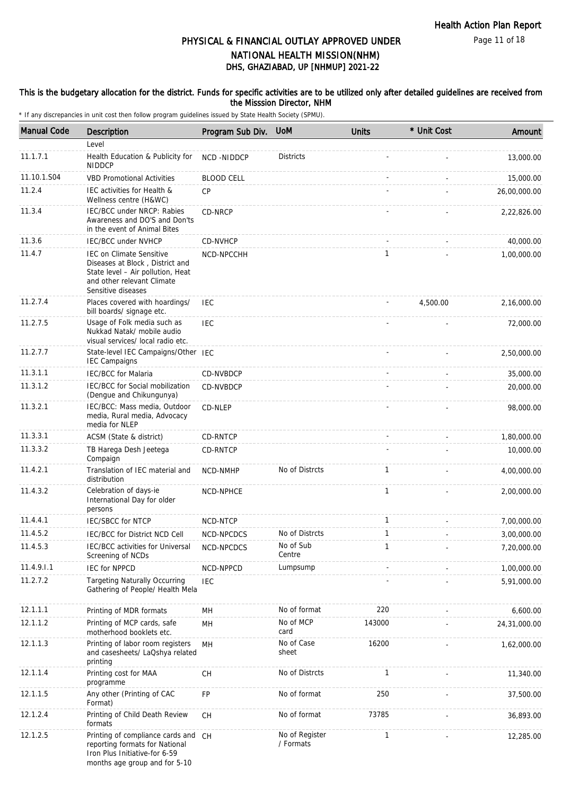Page 11 of 18

## DHS, GHAZIABAD, UP [NHMUP] 2021-22 PHYSICAL & FINANCIAL OUTLAY APPROVED UNDER NATIONAL HEALTH MISSION(NHM)

### This is the budgetary allocation for the district. Funds for specific activities are to be utilized only after detailed guidelines are received from the Misssion Director, NHM

| <b>Manual Code</b> | Description                                                                                                                                                 | Program Sub Div.                         | <b>UoM</b>                  | <b>Units</b> | * Unit Cost | Amount       |
|--------------------|-------------------------------------------------------------------------------------------------------------------------------------------------------------|------------------------------------------|-----------------------------|--------------|-------------|--------------|
|                    | Level                                                                                                                                                       |                                          |                             |              |             |              |
| 11.1.7.1           | Health Education & Publicity for<br><b>NIDDCP</b>                                                                                                           | NCD-NIDDCP                               | <b>Districts</b>            |              |             | 13,000.00    |
| 11.10.1.S04        | <b>VBD Promotional Activities</b>                                                                                                                           | <b>BLOOD CELL</b>                        |                             |              |             | 15,000.00    |
| 11.2.4             | IEC activities for Health &<br>Wellness centre (H&WC)                                                                                                       | CP                                       |                             |              |             | 26,00,000.00 |
| 11.3.4             | IEC/BCC under NRCP: Rabies<br>Awareness and DO'S and Don'ts<br>in the event of Animal Bites                                                                 | CD-NRCP                                  |                             |              |             | 2,22,826.00  |
| 11.3.6             | <b>IEC/BCC under NVHCP</b>                                                                                                                                  | CD-NVHCP                                 |                             |              |             | 40,000.00    |
| 11.4.7             | <b>IEC on Climate Sensitive</b><br>Diseases at Block, District and<br>State level - Air pollution, Heat<br>and other relevant Climate<br>Sensitive diseases | NCD-NPCCHH                               |                             | $\mathbf{1}$ |             | 1,00,000.00  |
| 11.2.7.4           | Places covered with hoardings/<br>bill boards/ signage etc.                                                                                                 | <b>IEC</b>                               |                             |              | 4,500.00    | 2,16,000.00  |
| 11.2.7.5           | Usage of Folk media such as<br>Nukkad Natak/ mobile audio<br>visual services/ local radio etc.                                                              | <b>IEC</b>                               |                             |              |             | 72,000.00    |
| 11.2.7.7           | State-level IEC Campaigns/Other IEC<br><b>IEC Campaigns</b>                                                                                                 |                                          |                             |              |             | 2,50,000.00  |
| 11.3.1.1           | <b>IEC/BCC</b> for Malaria                                                                                                                                  | CD-NVBDCP                                |                             |              |             | 35,000.00    |
| 11.3.1.2           | IEC/BCC for Social mobilization<br>(Dengue and Chikungunya)                                                                                                 | CD-NVBDCP                                |                             |              |             | 20,000.00    |
| 11.3.2.1           | IEC/BCC: Mass media, Outdoor<br>media, Rural media, Advocacy<br>media for NLEP                                                                              | CD-NLEP                                  |                             |              |             | 98,000.00    |
| 11.3.3.1           | ACSM (State & district)                                                                                                                                     | <b>CD-RNTCP</b>                          |                             |              |             | 1,80,000.00  |
| 11.3.3.2           | TB Harega Desh Jeetega<br>Compaign                                                                                                                          | CD-RNTCP                                 |                             |              |             | 10,000.00    |
| 11.4.2.1           | Translation of IEC material and<br>distribution                                                                                                             | NCD-NMHP                                 | No of Distrcts              | $\mathbf{1}$ |             | 4,00,000.00  |
| 11.4.3.2           | Celebration of days-ie<br>International Day for older<br>persons                                                                                            | <b>NCD-NPHCE</b>                         |                             | $\mathbf{1}$ |             | 2,00,000.00  |
| 11.4.4.1           | IEC/SBCC for NTCP                                                                                                                                           | NCD-NTCP                                 |                             | $\mathbf{1}$ |             | 7,00,000.00  |
| 11.4.5.2           | IEC/BCC for District NCD Cell                                                                                                                               | <b>NCD-NPCDCS</b>                        | No of Distrcts              | $\mathbf{1}$ |             | 3,00,000.00  |
| 11.4.5.3           | IEC/BCC activities for Universal<br>Screening of NCDs                                                                                                       | NCD-NPCDCS                               | No of Sub<br>Centre         | 1            |             | 7,20,000.00  |
| 11.4.9.1.1         | <b>IEC for NPPCD</b>                                                                                                                                        | NCD-NPPCD                                | Lumpsump                    |              |             | 1,00,000.00  |
| 11.2.7.2           | <b>Targeting Naturally Occurring</b><br>Gathering of People/ Health Mela                                                                                    | <b>IEC</b>                               |                             |              |             | 5,91,000.00  |
| 12.1.1.1           | Printing of MDR formats                                                                                                                                     | MН                                       | No of format                | 220          |             | 6,600.00     |
| 12.1.1.2           | Printing of MCP cards, safe<br>motherhood booklets etc.                                                                                                     | MH                                       | No of MCP<br>card           | 143000       |             | 24,31,000.00 |
| 12.1.1.3           | Printing of labor room registers<br>and casesheets/ LaQshya related<br>printing                                                                             | <b>MH</b>                                | No of Case<br>sheet         | 16200        |             | 1,62,000.00  |
| 12.1.1.4           | Printing cost for MAA<br>programme                                                                                                                          | $\mathsf{CH}% \left( \mathcal{M}\right)$ | No of Distrcts              | $\mathbf{1}$ |             | 11,340.00    |
| 12.1.1.5           | Any other (Printing of CAC<br>Format)                                                                                                                       | <b>FP</b>                                | No of format                | 250          |             | 37,500.00    |
| 12.1.2.4           | Printing of Child Death Review<br>formats                                                                                                                   | СH                                       | No of format                | 73785        |             | 36,893.00    |
| 12.1.2.5           | Printing of compliance cards and CH<br>reporting formats for National<br>Iron Plus Initiative-for 6-59<br>months age group and for 5-10                     |                                          | No of Register<br>/ Formats | $\mathbf{1}$ |             | 12,285.00    |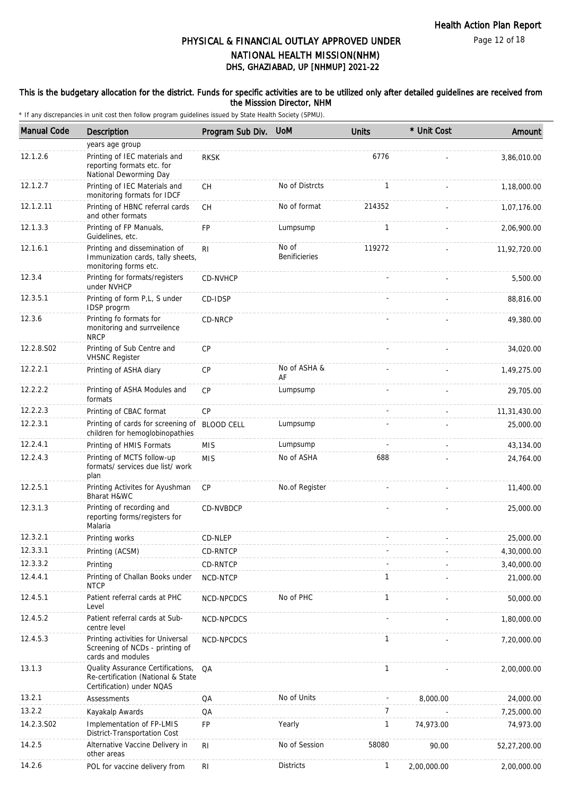Page 12 of 18

## DHS, GHAZIABAD, UP [NHMUP] 2021-22 PHYSICAL & FINANCIAL OUTLAY APPROVED UNDER NATIONAL HEALTH MISSION(NHM)

#### This is the budgetary allocation for the district. Funds for specific activities are to be utilized only after detailed guidelines are received from the Misssion Director, NHM

| <b>Manual Code</b> | Description                                                                                          | Program Sub Div. | <b>UoM</b>                    | <b>Units</b>   | * Unit Cost | Amount       |
|--------------------|------------------------------------------------------------------------------------------------------|------------------|-------------------------------|----------------|-------------|--------------|
|                    | years age group                                                                                      |                  |                               |                |             |              |
| 12.1.2.6           | Printing of IEC materials and<br>reporting formats etc. for<br>National Deworming Day                | <b>RKSK</b>      |                               | 6776           |             | 3,86,010.00  |
| 12.1.2.7           | Printing of IEC Materials and<br>monitoring formats for IDCF                                         | <b>CH</b>        | No of Distrcts                | $\mathbf{1}$   |             | 1,18,000.00  |
| 12.1.2.11          | Printing of HBNC referral cards<br>and other formats                                                 | <b>CH</b>        | No of format                  | 214352         |             | 1,07,176.00  |
| 12.1.3.3           | Printing of FP Manuals,<br>Guidelines, etc.                                                          | <b>FP</b>        | Lumpsump                      | $\mathbf{1}$   |             | 2,06,900.00  |
| 12.1.6.1           | Printing and dissemination of<br>Immunization cards, tally sheets,<br>monitoring forms etc.          | R <sub>l</sub>   | No of<br><b>Benificieries</b> | 119272         |             | 11,92,720.00 |
| 12.3.4             | Printing for formats/registers<br>under NVHCP                                                        | CD-NVHCP         |                               |                |             | 5,500.00     |
| 12.3.5.1           | Printing of form P,L, S under<br>IDSP progrm                                                         | CD-IDSP          |                               |                |             | 88,816.00    |
| 12.3.6             | Printing fo formats for<br>monitoring and surrveilence<br><b>NRCP</b>                                | CD-NRCP          |                               |                |             | 49,380.00    |
| 12.2.8.S02         | Printing of Sub Centre and<br><b>VHSNC Register</b>                                                  | CP               |                               |                |             | 34,020.00    |
| 12.2.2.1           | Printing of ASHA diary                                                                               | CP               | No of ASHA &<br>AF            |                |             | 1,49,275.00  |
| 12.2.2.2           | Printing of ASHA Modules and<br>formats                                                              | <b>CP</b>        | Lumpsump                      |                |             | 29,705.00    |
| 12.2.2.3           | Printing of CBAC format                                                                              | <b>CP</b>        |                               |                |             | 11,31,430.00 |
| 12.2.3.1           | Printing of cards for screening of BLOOD CELL<br>children for hemoglobinopathies                     |                  | Lumpsump                      |                |             | 25,000.00    |
| 12.2.4.1           | Printing of HMIS Formats                                                                             | <b>MIS</b>       | Lumpsump                      |                |             | 43,134.00    |
| 12.2.4.3           | Printing of MCTS follow-up<br>formats/ services due list/ work<br>plan                               | <b>MIS</b>       | No of ASHA                    | 688            |             | 24,764.00    |
| 12.2.5.1           | Printing Activites for Ayushman<br>Bharat H&WC                                                       | CP               | No.of Register                |                |             | 11,400.00    |
| 12.3.1.3           | Printing of recording and<br>reporting forms/registers for<br>Malaria                                | CD-NVBDCP        |                               |                |             | 25,000.00    |
| 12.3.2.1           | Printing works                                                                                       | CD-NLEP          |                               |                |             | 25,000.00    |
| 12.3.3.1           | Printing (ACSM)                                                                                      | CD-RNTCP         |                               |                |             | 4,30,000.00  |
| 12.3.3.2           | Printing                                                                                             | CD-RNTCP         |                               |                |             | 3,40,000.00  |
| 12.4.4.1           | Printing of Challan Books under<br><b>NTCP</b>                                                       | NCD-NTCP         |                               | 1              |             | 21,000.00    |
| 12.4.5.1           | Patient referral cards at PHC<br>Level                                                               | NCD-NPCDCS       | No of PHC                     | $\mathbf{1}$   |             | 50,000.00    |
| 12.4.5.2           | Patient referral cards at Sub-<br>centre level                                                       | NCD-NPCDCS       |                               |                |             | 1,80,000.00  |
| 12.4.5.3           | Printing activities for Universal<br>Screening of NCDs - printing of<br>cards and modules            | NCD-NPCDCS       |                               | $\mathbf{1}$   |             | 7,20,000.00  |
| 13.1.3             | Quality Assurance Certifications,<br>Re-certification (National & State<br>Certification) under NQAS | QA               |                               | $\mathbf{1}$   |             | 2,00,000.00  |
| 13.2.1             | Assessments                                                                                          | QA               | No of Units                   |                | 8,000.00    | 24,000.00    |
| 13.2.2             | Kayakalp Awards                                                                                      | QA               |                               | $\overline{7}$ |             | 7,25,000.00  |
| 14.2.3.S02         | Implementation of FP-LMIS<br>District-Transportation Cost                                            | <b>FP</b>        | Yearly                        | $\mathbf{1}$   | 74,973.00   | 74,973.00    |
| 14.2.5             | Alternative Vaccine Delivery in<br>other areas                                                       | R <sub>l</sub>   | No of Session                 | 58080          | 90.00       | 52,27,200.00 |
| 14.2.6             | POL for vaccine delivery from                                                                        | R <sub>l</sub>   | Districts                     | $\mathbf{1}$   | 2,00,000.00 | 2,00,000.00  |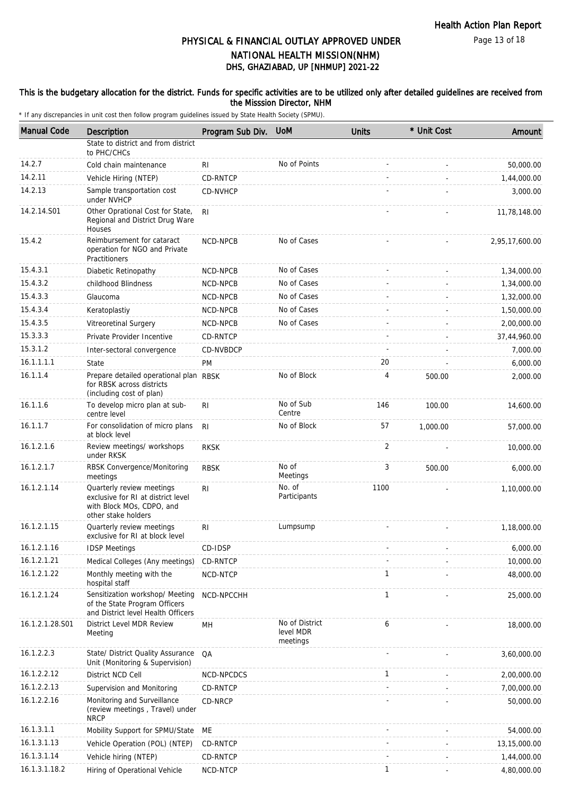Page 13 of 18

## DHS, GHAZIABAD, UP [NHMUP] 2021-22 PHYSICAL & FINANCIAL OUTLAY APPROVED UNDER NATIONAL HEALTH MISSION(NHM)

### This is the budgetary allocation for the district. Funds for specific activities are to be utilized only after detailed guidelines are received from the Misssion Director, NHM

| <b>Manual Code</b> | Description                                                                                                         | Program Sub Div. | <b>UoM</b>                              | <b>Units</b> | * Unit Cost | Amount         |
|--------------------|---------------------------------------------------------------------------------------------------------------------|------------------|-----------------------------------------|--------------|-------------|----------------|
|                    | State to district and from district<br>to PHC/CHCs                                                                  |                  |                                         |              |             |                |
| 14.2.7             | Cold chain maintenance                                                                                              | RI               | No of Points                            |              |             | 50,000.00      |
| 14.2.11            | Vehicle Hiring (NTEP)                                                                                               | CD-RNTCP         |                                         |              |             | 1,44,000.00    |
| 14.2.13            | Sample transportation cost<br>under NVHCP                                                                           | CD-NVHCP         |                                         |              |             | 3,000.00       |
| 14.2.14.S01        | Other Oprational Cost for State,<br>Regional and District Drug Ware<br>Houses                                       | R <sub>l</sub>   |                                         |              |             | 11,78,148.00   |
| 15.4.2             | Reimbursement for cataract<br>operation for NGO and Private<br>Practitioners                                        | NCD-NPCB         | No of Cases                             |              |             | 2,95,17,600.00 |
| 15.4.3.1           | Diabetic Retinopathy                                                                                                | NCD-NPCB         | No of Cases                             |              |             | 1,34,000.00    |
| 15.4.3.2           | childhood Blindness                                                                                                 | NCD-NPCB         | No of Cases                             |              |             | 1,34,000.00    |
| 15.4.3.3           | Glaucoma                                                                                                            | NCD-NPCB         | No of Cases                             |              |             | 1,32,000.00    |
| 15.4.3.4           | Keratoplastiy                                                                                                       | NCD-NPCB         | No of Cases                             |              |             | 1,50,000.00    |
| 15.4.3.5           | Vitreoretinal Surgery                                                                                               | NCD-NPCB         | No of Cases                             |              |             | 2,00,000.00    |
| 15.3.3.3           | Private Provider Incentive                                                                                          | CD-RNTCP         |                                         |              |             | 37,44,960.00   |
| 15.3.1.2           | Inter-sectoral convergence                                                                                          | CD-NVBDCP        |                                         |              |             | 7,000.00       |
| 16.1.1.1.1         | State                                                                                                               | PM               |                                         | 20           |             | 6,000.00       |
| 16.1.1.4           | Prepare detailed operational plan RBSK<br>for RBSK across districts<br>(including cost of plan)                     |                  | No of Block                             | 4            | 500.00      | 2,000.00       |
| 16.1.1.6           | To develop micro plan at sub-<br>centre level                                                                       | R <sub>l</sub>   | No of Sub<br>Centre                     | 146          | 100.00      | 14,600.00      |
| 16.1.1.7           | For consolidation of micro plans<br>at block level                                                                  | R <sub>l</sub>   | No of Block                             | 57           | 1,000.00    | 57,000.00      |
| 16.1.2.1.6         | Review meetings/ workshops<br>under RKSK                                                                            | <b>RKSK</b>      |                                         | 2            |             | 10,000.00      |
| 16.1.2.1.7         | RBSK Convergence/Monitoring<br>meetings                                                                             | <b>RBSK</b>      | No of<br>Meetings                       | 3            | 500.00      | 6,000.00       |
| 16.1.2.1.14        | Quarterly review meetings<br>exclusive for RI at district level<br>with Block MOs, CDPO, and<br>other stake holders | R <sub>l</sub>   | No. of<br>Participants                  | 1100         |             | 1,10,000.00    |
| 16.1.2.1.15        | Quarterly review meetings<br>exclusive for RI at block level                                                        | R <sub>l</sub>   | Lumpsump                                |              |             | 1,18,000.00    |
| 16.1.2.1.16        | <b>IDSP Meetings</b>                                                                                                | CD-IDSP          |                                         |              |             | 6,000.00       |
| 16.1.2.1.21        | Medical Colleges (Any meetings)                                                                                     | CD-RNTCP         |                                         |              |             | 10,000.00      |
| 16.1.2.1.22        | Monthly meeting with the<br>hospital staff                                                                          | NCD-NTCP         |                                         | $\mathbf{1}$ |             | 48,000.00      |
| 16.1.2.1.24        | Sensitization workshop/ Meeting<br>of the State Program Officers<br>and District level Health Officers              | NCD-NPCCHH       |                                         | $\mathbf{1}$ |             | 25,000.00      |
| 16.1.2.1.28.S01    | District Level MDR Review<br>Meeting                                                                                | MH               | No of District<br>level MDR<br>meetings | 6            |             | 18,000.00      |
| 16.1.2.2.3         | State/ District Quality Assurance<br>Unit (Monitoring & Supervision)                                                | QA               |                                         |              |             | 3,60,000.00    |
| 16.1.2.2.12        | District NCD Cell                                                                                                   | NCD-NPCDCS       |                                         | $\mathbf{1}$ |             | 2,00,000.00    |
| 16.1.2.2.13        | Supervision and Monitoring                                                                                          | CD-RNTCP         |                                         |              |             | 7,00,000.00    |
| 16.1.2.2.16        | Monitoring and Surveillance<br>(review meetings, Travel) under<br><b>NRCP</b>                                       | CD-NRCP          |                                         |              |             | 50,000.00      |
| 16.1.3.1.1         | Mobility Support for SPMU/State                                                                                     | ME               |                                         |              |             | 54,000.00      |
| 16.1.3.1.13        | Vehicle Operation (POL) (NTEP)                                                                                      | CD-RNTCP         |                                         |              |             | 13,15,000.00   |
| 16.1.3.1.14        | Vehicle hiring (NTEP)                                                                                               | CD-RNTCP         |                                         |              |             | 1,44,000.00    |
| 16.1.3.1.18.2      | Hiring of Operational Vehicle                                                                                       | NCD-NTCP         |                                         | 1            |             | 4,80,000.00    |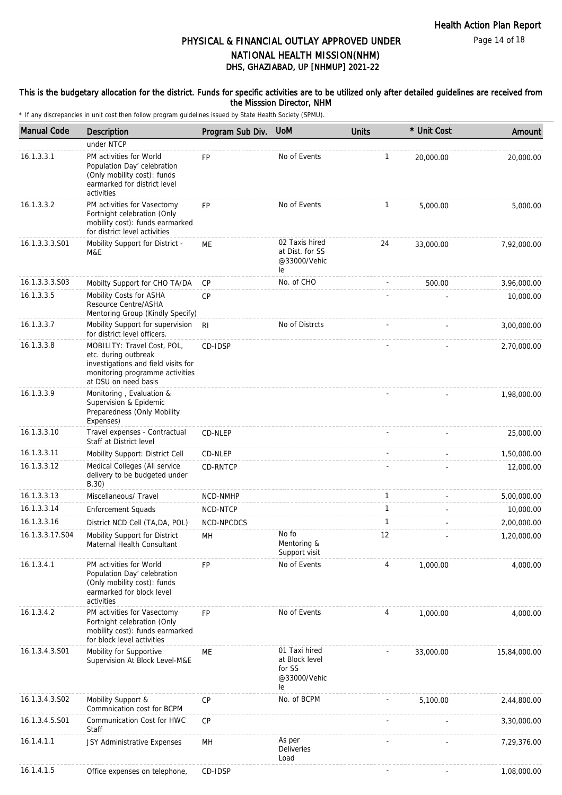Page 14 of 18

## DHS, GHAZIABAD, UP [NHMUP] 2021-22 PHYSICAL & FINANCIAL OUTLAY APPROVED UNDER NATIONAL HEALTH MISSION(NHM)

### This is the budgetary allocation for the district. Funds for specific activities are to be utilized only after detailed guidelines are received from the Misssion Director, NHM

| <b>Manual Code</b> | Description                                                                                                                                           | Program Sub Div. | <b>UoM</b>                                                      | <b>Units</b> | * Unit Cost | Amount       |
|--------------------|-------------------------------------------------------------------------------------------------------------------------------------------------------|------------------|-----------------------------------------------------------------|--------------|-------------|--------------|
|                    | under NTCP                                                                                                                                            |                  |                                                                 |              |             |              |
| 16.1.3.3.1         | PM activities for World<br>Population Day' celebration<br>(Only mobility cost): funds<br>earmarked for district level<br>activities                   | FP               | No of Events                                                    | $\mathbf{1}$ | 20,000.00   | 20,000.00    |
| 16.1.3.3.2         | PM activities for Vasectomy<br>Fortnight celebration (Only<br>mobility cost): funds earmarked<br>for district level activities                        | <b>FP</b>        | No of Events                                                    | 1            | 5,000.00    | 5,000.00     |
| 16.1.3.3.3.S01     | Mobility Support for District -<br>M&E                                                                                                                | МE               | 02 Taxis hired<br>at Dist. for SS<br>@33000/Vehic<br>le         | 24           | 33,000.00   | 7,92,000.00  |
| 16.1.3.3.3.S03     | Mobilty Support for CHO TA/DA                                                                                                                         | CP               | No. of CHO                                                      |              | 500.00      | 3,96,000.00  |
| 16.1.3.3.5         | Mobility Costs for ASHA<br>Resource Centre/ASHA<br>Mentoring Group (Kindly Specify)                                                                   | <b>CP</b>        |                                                                 |              |             | 10,000.00    |
| 16.1.3.3.7         | Mobility Support for supervision<br>for district level officers.                                                                                      | R <sub>l</sub>   | No of Distrcts                                                  |              |             | 3,00,000.00  |
| 16.1.3.3.8         | MOBILITY: Travel Cost, POL,<br>etc. during outbreak<br>investigations and field visits for<br>monitoring programme activities<br>at DSU on need basis | CD-IDSP          |                                                                 |              |             | 2,70,000.00  |
| 16.1.3.3.9         | Monitoring, Evaluation &<br>Supervision & Epidemic<br>Preparedness (Only Mobility<br>Expenses)                                                        |                  |                                                                 |              |             | 1,98,000.00  |
| 16.1.3.3.10        | Travel expenses - Contractual<br>Staff at District level                                                                                              | CD-NLEP          |                                                                 |              |             | 25,000.00    |
| 16.1.3.3.11        | Mobility Support: District Cell                                                                                                                       | CD-NLEP          |                                                                 |              |             | 1,50,000.00  |
| 16.1.3.3.12        | Medical Colleges (All service<br>delivery to be budgeted under<br>B.30)                                                                               | CD-RNTCP         |                                                                 |              |             | 12,000.00    |
| 16.1.3.3.13        | Miscellaneous/ Travel                                                                                                                                 | NCD-NMHP         |                                                                 | $\mathbf{1}$ |             | 5,00,000.00  |
| 16.1.3.3.14        | <b>Enforcement Squads</b>                                                                                                                             | NCD-NTCP         |                                                                 | 1            |             | 10,000.00    |
| 16.1.3.3.16        | District NCD Cell (TA, DA, POL)                                                                                                                       | NCD-NPCDCS       |                                                                 | $\mathbf{1}$ |             | 2,00,000.00  |
| 16.1.3.3.17.S04    | Mobility Support for District<br>Maternal Health Consultant                                                                                           | MН               | No fo<br>Mentoring &<br>Support visit                           | 12           |             | 1,20,000.00  |
| 16.1.3.4.1         | PM activities for World<br>Population Day' celebration<br>(Only mobility cost): funds<br>earmarked for block level<br>activities                      | FP               | No of Events                                                    | 4            | 1,000.00    | 4.000.00     |
| 16.1.3.4.2         | PM activities for Vasectomy<br>Fortnight celebration (Only<br>mobility cost): funds earmarked<br>for block level activities                           | FP               | No of Events                                                    | 4            | 1,000.00    | 4,000.00     |
| 16.1.3.4.3.S01     | Mobility for Supportive<br>Supervision At Block Level-M&E                                                                                             | ME               | 01 Taxi hired<br>at Block level<br>for SS<br>@33000/Vehic<br>le |              | 33,000.00   | 15,84,000.00 |
| 16.1.3.4.3.S02     | Mobility Support &<br>Commnication cost for BCPM                                                                                                      | <b>CP</b>        | No. of BCPM                                                     |              | 5,100.00    | 2,44,800.00  |
| 16.1.3.4.5.S01     | Communication Cost for HWC<br>Staff                                                                                                                   | <b>CP</b>        |                                                                 |              |             | 3,30,000.00  |
| 16.1.4.1.1         | JSY Administrative Expenses                                                                                                                           | MH               | As per<br>Deliveries<br>Load                                    |              |             | 7,29,376.00  |
| 16.1.4.1.5         | Office expenses on telephone,                                                                                                                         | CD-IDSP          |                                                                 |              |             | 1,08,000.00  |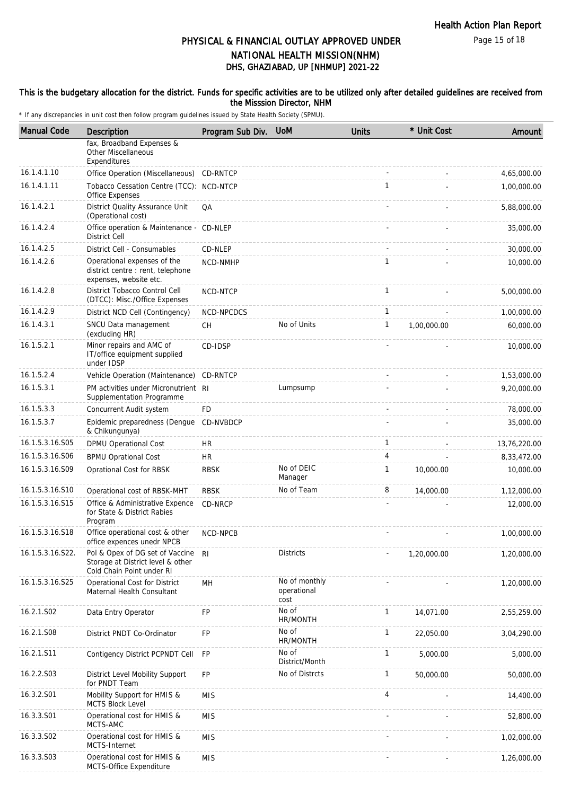Page 15 of 18

## DHS, GHAZIABAD, UP [NHMUP] 2021-22 PHYSICAL & FINANCIAL OUTLAY APPROVED UNDER NATIONAL HEALTH MISSION(NHM)

### This is the budgetary allocation for the district. Funds for specific activities are to be utilized only after detailed guidelines are received from the Misssion Director, NHM

| <b>Manual Code</b> | Description                                                                                       | Program Sub Div. | <b>UoM</b>                           | <b>Units</b>   | * Unit Cost | Amount       |
|--------------------|---------------------------------------------------------------------------------------------------|------------------|--------------------------------------|----------------|-------------|--------------|
|                    | fax, Broadband Expenses &<br><b>Other Miscellaneous</b><br>Expenditures                           |                  |                                      |                |             |              |
| 16.1.4.1.10        | Office Operation (Miscellaneous)                                                                  | CD-RNTCP         |                                      |                |             | 4,65,000.00  |
| 16.1.4.1.11        | Tobacco Cessation Centre (TCC): NCD-NTCP<br>Office Expenses                                       |                  |                                      | $\mathbf{1}$   |             | 1,00,000.00  |
| 16.1.4.2.1         | District Quality Assurance Unit<br>(Operational cost)                                             | QA               |                                      |                |             | 5,88,000.00  |
| 16.1.4.2.4         | Office operation & Maintenance - CD-NLEP<br><b>District Cell</b>                                  |                  |                                      |                |             | 35,000.00    |
| 16.1.4.2.5         | District Cell - Consumables                                                                       | CD-NLEP          |                                      |                |             | 30,000.00    |
| 16.1.4.2.6         | Operational expenses of the<br>district centre : rent, telephone<br>expenses, website etc.        | NCD-NMHP         |                                      | $\mathbf{1}$   |             | 10,000.00    |
| 16.1.4.2.8         | District Tobacco Control Cell<br>(DTCC): Misc./Office Expenses                                    | NCD-NTCP         |                                      | $\mathbf{1}$   |             | 5,00,000.00  |
| 16.1.4.2.9         | District NCD Cell (Contingency)                                                                   | NCD-NPCDCS       |                                      | $\mathbf{1}$   |             | 1,00,000.00  |
| 16.1.4.3.1         | SNCU Data management<br>(excluding HR)                                                            | <b>CH</b>        | No of Units                          | $\mathbf{1}$   | 1,00,000.00 | 60,000.00    |
| 16.1.5.2.1         | Minor repairs and AMC of<br>IT/office equipment supplied<br>under IDSP                            | CD-IDSP          |                                      |                |             | 10,000.00    |
| 16.1.5.2.4         | Vehicle Operation (Maintenance)                                                                   | CD-RNTCP         |                                      |                |             | 1,53,000.00  |
| 16.1.5.3.1         | PM activities under Micronutrient RI<br>Supplementation Programme                                 |                  | Lumpsump                             |                |             | 9,20,000.00  |
| 16.1.5.3.3         | Concurrent Audit system                                                                           | <b>FD</b>        |                                      |                |             | 78,000.00    |
| 16.1.5.3.7         | Epidemic preparedness (Dengue<br>& Chikungunya)                                                   | CD-NVBDCP        |                                      |                |             | 35,000.00    |
| 16.1.5.3.16.S05    | <b>DPMU Operational Cost</b>                                                                      | <b>HR</b>        |                                      | 1              |             | 13,76,220.00 |
| 16.1.5.3.16.S06    | <b>BPMU Oprational Cost</b>                                                                       | <b>HR</b>        |                                      | $\overline{4}$ |             | 8,33,472.00  |
| 16.1.5.3.16.S09    | Oprational Cost for RBSK                                                                          | <b>RBSK</b>      | No of DEIC<br>Manager                | $\mathbf{1}$   | 10,000.00   | 10,000.00    |
| 16.1.5.3.16.S10    | Operational cost of RBSK-MHT                                                                      | <b>RBSK</b>      | No of Team                           | 8              | 14,000.00   | 1,12,000.00  |
| 16.1.5.3.16.S15    | Office & Administrative Expence<br>for State & District Rabies<br>Program                         | CD-NRCP          |                                      |                |             | 12,000.00    |
| 16.1.5.3.16.S18    | Office operational cost & other<br>office expences unedr NPCB                                     | NCD-NPCB         |                                      |                |             | 1,00,000.00  |
| 16.1.5.3.16.S22.   | Pol & Opex of DG set of Vaccine<br>Storage at District level & other<br>Cold Chain Point under RI | -RI              | <b>Districts</b>                     |                | 1,20,000.00 | 1,20,000.00  |
| 16.1.5.3.16.S25    | Operational Cost for District<br>Maternal Health Consultant                                       | MН               | No of monthly<br>operational<br>cost |                |             | 1,20,000.00  |
| 16.2.1.S02         | Data Entry Operator                                                                               | FP               | No of<br>HR/MONTH                    | $\mathbf{1}$   | 14,071.00   | 2,55,259.00  |
| 16.2.1.S08         | District PNDT Co-Ordinator                                                                        | FP               | No of<br>HR/MONTH                    | $\mathbf{1}$   | 22,050.00   | 3,04,290.00  |
| 16.2.1.S11         | Contigency District PCPNDT Cell                                                                   | FP               | No of<br>District/Month              | $\mathbf{1}$   | 5,000.00    | 5,000.00     |
| 16.2.2.S03         | District Level Mobility Support<br>for PNDT Team                                                  | <b>FP</b>        | No of Distrcts                       | 1              | 50,000.00   | 50,000.00    |
| 16.3.2.S01         | Mobility Support for HMIS &<br><b>MCTS Block Level</b>                                            | <b>MIS</b>       |                                      | 4              |             | 14,400.00    |
| 16.3.3.S01         | Operational cost for HMIS &<br>MCTS-AMC                                                           | <b>MIS</b>       |                                      |                |             | 52,800.00    |
| 16.3.3.S02         | Operational cost for HMIS &<br>MCTS-Internet                                                      | <b>MIS</b>       |                                      |                |             | 1,02,000.00  |
| 16.3.3.S03         | Operational cost for HMIS &<br>MCTS-Office Expenditure                                            | <b>MIS</b>       |                                      |                |             | 1,26,000.00  |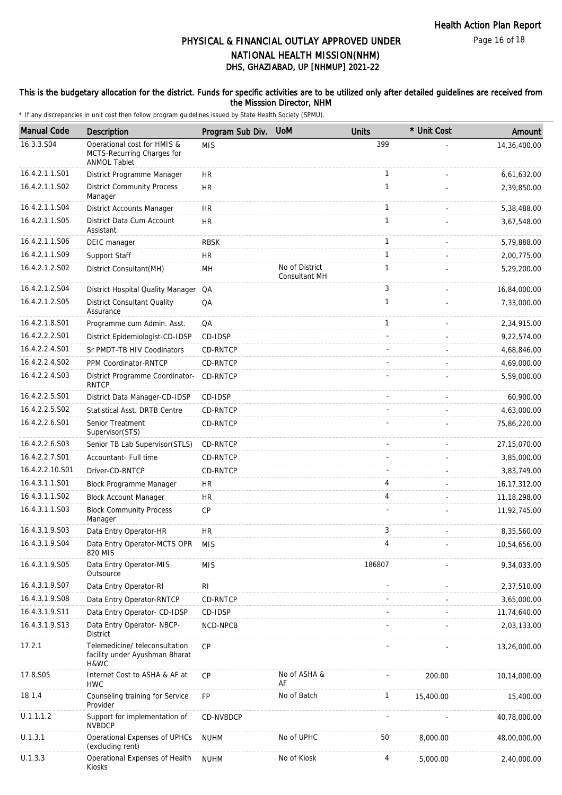Page 16 of 18

## DHS, GHAZIABAD, UP [NHMUP] 2021-22 PHYSICAL & FINANCIAL OUTLAY APPROVED UNDER NATIONAL HEALTH MISSION(NHM)

### This is the budgetary allocation for the district. Funds for specific activities are to be utilized only after detailed guidelines are received from the Misssion Director, NHM

| <b>Manual Code</b> | Description                                                                      | Program Sub Div. | <b>UoM</b>                      | <b>Units</b> | * Unit Cost | Amount         |
|--------------------|----------------------------------------------------------------------------------|------------------|---------------------------------|--------------|-------------|----------------|
| 16.3.3.S04         | Operational cost for HMIS &<br>MCTS-Recurring Charges for<br><b>ANMOL Tablet</b> | <b>MIS</b>       |                                 | 399          |             | 14,36,400.00   |
| 16.4.2.1.1.S01     | District Programme Manager                                                       | <b>HR</b>        |                                 | 1            |             | 6,61,632.00    |
| 16.4.2.1.1.S02     | <b>District Community Process</b><br>Manager                                     | <b>HR</b>        |                                 | $\mathbf{1}$ |             | 2,39,850.00    |
| 16.4.2.1.1.S04     | District Accounts Manager                                                        | <b>HR</b>        |                                 | 1            |             | 5,38,488.00    |
| 16.4.2.1.1.S05     | District Data Cum Account<br>Assistant                                           | <b>HR</b>        |                                 | $\mathbf{1}$ |             | 3,67,548.00    |
| 16.4.2.1.1.S06     | DEIC manager                                                                     | <b>RBSK</b>      |                                 | 1            |             | 5,79,888.00    |
| 16.4.2.1.1.S09     | Support Staff                                                                    | <b>HR</b>        |                                 | $\mathbf{1}$ |             | 2,00,775.00    |
| 16.4.2.1.2.S02     | District Consultant(MH)                                                          | MН               | No of District<br>Consultant MH | $\mathbf{1}$ |             | 5,29,200.00    |
| 16.4.2.1.2.S04     | District Hospital Quality Manager                                                | QA               |                                 | 3            |             | 16,84,000.00   |
| 16.4.2.1.2.S05     | <b>District Consultant Quality</b><br>Assurance                                  | QA               |                                 | 1            |             | 7,33,000.00    |
| 16.4.2.1.8.S01     | Programme cum Admin. Asst.                                                       | QA               |                                 | $\mathbf{1}$ |             | 2,34,915.00    |
| 16.4.2.2.2.S01     | District Epidemiologist-CD-IDSP                                                  | CD-IDSP          |                                 |              |             | 9,22,574.00    |
| 16.4.2.2.4.S01     | Sr PMDT-TB HIV Coodinators                                                       | CD-RNTCP         |                                 |              |             | 4,68,846.00    |
| 16.4.2.2.4.S02     | PPM Coordinator-RNTCP                                                            | CD-RNTCP         |                                 |              |             | 4,69,000.00    |
| 16.4.2.2.4.S03     | District Programme Coordinator-<br><b>RNTCP</b>                                  | CD-RNTCP         |                                 |              |             | 5,59,000.00    |
| 16.4.2.2.5.S01     | District Data Manager-CD-IDSP                                                    | CD-IDSP          |                                 |              |             | 60,900.00      |
| 16.4.2.2.5.S02     | Statistical Asst. DRTB Centre                                                    | <b>CD-RNTCP</b>  |                                 |              |             | 4,63,000.00    |
| 16.4.2.2.6.S01     | Senior Treatment<br>Supervisor(STS)                                              | CD-RNTCP         |                                 |              |             | 75,86,220.00   |
| 16.4.2.2.6.S03     | Senior TB Lab Supervisor(STLS)                                                   | CD-RNTCP         |                                 |              |             | 27,15,070.00   |
| 16.4.2.2.7.S01     | Accountant- Full time                                                            | <b>CD-RNTCP</b>  |                                 |              |             | 3,85,000.00    |
| 16.4.2.2.10.S01    | Driver-CD-RNTCP                                                                  | CD-RNTCP         |                                 |              |             | 3,83,749.00    |
| 16.4.3.1.1.S01     | Block Programme Manager                                                          | HR               |                                 | 4            |             | 16, 17, 312.00 |
| 16.4.3.1.1.S02     | <b>Block Account Manager</b>                                                     | <b>HR</b>        |                                 | 4            |             | 11, 18, 298.00 |
| 16.4.3.1.1.S03     | <b>Block Community Process</b><br>Manager                                        | CP               |                                 |              |             | 11,92,745.00   |
| 16.4.3.1.9.S03     | Data Entry Operator-HR                                                           | HR               |                                 | 3            |             | 8,35,560.00    |
| 16.4.3.1.9.S04     | Data Entry Operator-MCTS OPR<br>820 MIS                                          | <b>MIS</b>       |                                 | 4            |             | 10,54,656.00   |
| 16.4.3.1.9.S05     | Data Entry Operator-MIS<br>Outsource                                             | <b>MIS</b>       |                                 | 186807       |             | 9,34,033.00    |
| 16.4.3.1.9.S07     | Data Entry Operator-RI                                                           | RI               |                                 |              |             | 2,37,510.00    |
| 16.4.3.1.9.S08     | Data Entry Operator-RNTCP                                                        | CD-RNTCP         |                                 |              |             | 3,65,000.00    |
| 16.4.3.1.9.S11     | Data Entry Operator- CD-IDSP                                                     | CD-IDSP          |                                 |              |             | 11,74,640.00   |
| 16.4.3.1.9.S13     | Data Entry Operator- NBCP-<br><b>District</b>                                    | NCD-NPCB         |                                 |              |             | 2,03,133.00    |
| 17.2.1             | Telemedicine/ teleconsultation<br>facility under Ayushman Bharat<br>H&WC         | CP               |                                 |              |             | 13,26,000.00   |
| 17.8.S05           | Internet Cost to ASHA & AF at<br><b>HWC</b>                                      | CP               | No of ASHA &<br>AF              |              | 200.00      | 10,14,000.00   |
| 18.1.4             | Counseling training for Service<br>Provider                                      | FP               | No of Batch                     | $\mathbf{1}$ | 15,400.00   | 15,400.00      |
| U.1.1.1.2          | Support for implementation of<br><b>NVBDCP</b>                                   | CD-NVBDCP        |                                 |              |             | 40,78,000.00   |
| U.1.3.1            | Operational Expenses of UPHCs<br>(excluding rent)                                | <b>NUHM</b>      | No of UPHC                      | 50           | 8,000.00    | 48,00,000.00   |
| U.1.3.3            | Operational Expenses of Health<br>Kiosks                                         | <b>NUHM</b>      | No of Kiosk                     | 4            | 5,000.00    | 2,40,000.00    |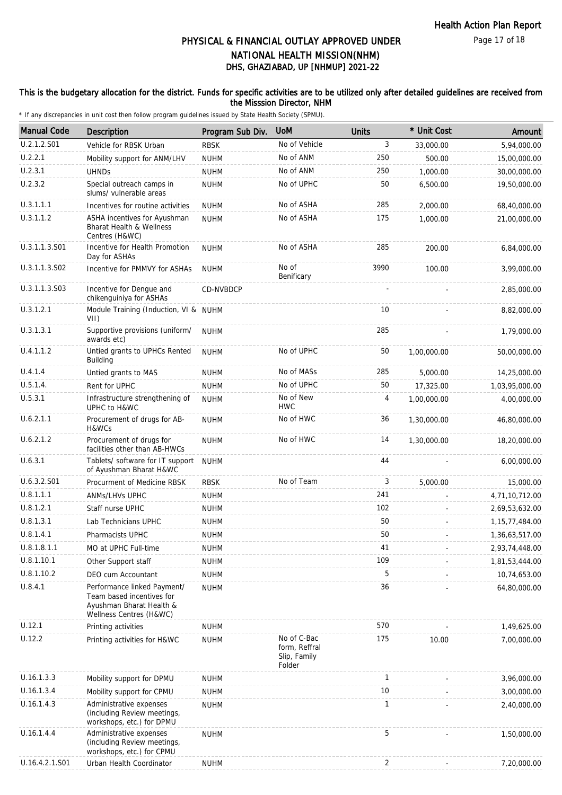### This is the budgetary allocation for the district. Funds for specific activities are to be utilized only after detailed guidelines are received from the Misssion Director, NHM

| <b>Manual Code</b> | Description                                                                                                     | Program Sub Div. | <b>UoM</b>                                             | <b>Units</b> | * Unit Cost | Amount            |
|--------------------|-----------------------------------------------------------------------------------------------------------------|------------------|--------------------------------------------------------|--------------|-------------|-------------------|
| U.2.1.2.S01        | Vehicle for RBSK Urban                                                                                          | <b>RBSK</b>      | No of Vehicle                                          | 3            | 33,000.00   | 5,94,000.00       |
| U.2.2.1            | Mobility support for ANM/LHV                                                                                    | <b>NUHM</b>      | No of ANM                                              | 250          | 500.00      | 15,00,000.00      |
| U.2.3.1            | <b>UHNDs</b>                                                                                                    | <b>NUHM</b>      | No of ANM                                              | 250          | 1,000.00    | 30,00,000.00      |
| U.2.3.2            | Special outreach camps in<br>slums/ vulnerable areas                                                            | <b>NUHM</b>      | No of UPHC                                             | 50           | 6,500.00    | 19,50,000.00      |
| U.3.1.1.1          | Incentives for routine activities                                                                               | <b>NUHM</b>      | No of ASHA                                             | 285          | 2,000.00    | 68,40,000.00      |
| U.3.1.1.2          | ASHA incentives for Ayushman<br><b>Bharat Health &amp; Wellness</b><br>Centres (H&WC)                           | <b>NUHM</b>      | No of ASHA                                             | 175          | 1.000.00    | 21,00,000.00      |
| U.3.1.1.3.S01      | Incentive for Health Promotion<br>Day for ASHAs                                                                 | <b>NUHM</b>      | No of ASHA                                             | 285          | 200.00      | 6,84,000.00       |
| U.3.1.1.3.S02      | Incentive for PMMVY for ASHAs                                                                                   | <b>NUHM</b>      | No of<br>Benificary                                    | 3990         | 100.00      | 3,99,000.00       |
| U.3.1.1.3.S03      | Incentive for Dengue and<br>chikenguiniya for ASHAs                                                             | CD-NVBDCP        |                                                        |              |             | 2,85,000.00       |
| U.3.1.2.1          | Module Training (Induction, VI & NUHM<br>VII)                                                                   |                  |                                                        | 10           |             | 8,82,000.00       |
| U.3.1.3.1          | Supportive provisions (uniform/<br>awards etc)                                                                  | <b>NUHM</b>      |                                                        | 285          |             | 1,79,000.00       |
| U.4.1.1.2          | Untied grants to UPHCs Rented<br>Building                                                                       | <b>NUHM</b>      | No of UPHC                                             | 50           | 1,00,000.00 | 50,00,000.00      |
| U.4.1.4            | Untied grants to MAS                                                                                            | <b>NUHM</b>      | No of MASs                                             | 285          | 5,000.00    | 14,25,000.00      |
| U.5.1.4.           | Rent for UPHC                                                                                                   | <b>NUHM</b>      | No of UPHC                                             | 50           | 17,325.00   | 1,03,95,000.00    |
| U.5.3.1            | Infrastructure strengthening of<br>UPHC to H&WC                                                                 | <b>NUHM</b>      | No of New<br><b>HWC</b>                                | 4            | 1,00,000.00 | 4,00,000.00       |
| U.6.2.1.1          | Procurement of drugs for AB-<br>H&WCs                                                                           | <b>NUHM</b>      | No of HWC                                              | 36           | 1,30,000.00 | 46,80,000.00      |
| U.6.2.1.2          | Procurement of drugs for<br>facilities other than AB-HWCs                                                       | <b>NUHM</b>      | No of HWC                                              | 14           | 1,30,000.00 | 18,20,000.00      |
| U.6.3.1            | Tablets/ software for IT support<br>of Ayushman Bharat H&WC                                                     | <b>NUHM</b>      |                                                        | 44           |             | 6,00,000.00       |
| U.6.3.2.S01        | Procurment of Medicine RBSK                                                                                     | <b>RBSK</b>      | No of Team                                             | 3            | 5,000.00    | 15,000.00         |
| U.8.1.1.1          | <b>ANMS/LHVS UPHC</b>                                                                                           | <b>NUHM</b>      |                                                        | 241          |             | 4,71,10,712.00    |
| U.8.1.2.1          | Staff nurse UPHC                                                                                                | <b>NUHM</b>      |                                                        | 102          |             | 2,69,53,632.00    |
| U.8.1.3.1          | Lab Technicians UPHC                                                                                            | <b>NUHM</b>      |                                                        | 50           |             | 1, 15, 77, 484.00 |
| U.8.1.4.1          | Pharmacists UPHC                                                                                                | <b>NUHM</b>      |                                                        | 50           |             | 1,36,63,517.00    |
| U.8.1.8.1.1        | MO at UPHC Full-time                                                                                            | <b>NUHM</b>      |                                                        | 41           |             | 2,93,74,448.00    |
| U.8.1.10.1         | Other Support staff                                                                                             | <b>NUHM</b>      |                                                        | 109          |             | 1,81,53,444.00    |
| U.8.1.10.2         | DEO cum Accountant                                                                                              | <b>NUHM</b>      |                                                        | 5            |             | 10,74,653.00      |
| U.8.4.1            | Performance linked Payment/<br>Team based incentives for<br>Ayushman Bharat Health &<br>Wellness Centres (H&WC) | <b>NUHM</b>      |                                                        | 36           |             | 64,80,000.00      |
| U.12.1             | Printing activities                                                                                             | <b>NUHM</b>      |                                                        | 570          |             | 1,49,625.00       |
| U.12.2             | Printing activities for H&WC                                                                                    | <b>NUHM</b>      | No of C-Bac<br>form, Reffral<br>Slip, Family<br>Folder | 175          | 10.00       | 7,00,000.00       |
| U.16.1.3.3         | Mobility support for DPMU                                                                                       | <b>NUHM</b>      |                                                        | $\mathbf{1}$ |             | 3,96,000.00       |
| U.16.1.3.4         | Mobility support for CPMU                                                                                       | <b>NUHM</b>      |                                                        | 10           |             | 3,00,000.00       |
| U.16.1.4.3         | Administrative expenses<br>(including Review meetings,<br>workshops, etc.) for DPMU                             | <b>NUHM</b>      |                                                        | $\mathbf{1}$ |             | 2,40,000.00       |
| U.16.1.4.4         | Administrative expenses<br>(including Review meetings,<br>workshops, etc.) for CPMU                             | <b>NUHM</b>      |                                                        | 5            |             | 1,50,000.00       |
| U.16.4.2.1.S01     | Urban Health Coordinator                                                                                        | <b>NUHM</b>      |                                                        | 2            |             | 7,20,000.00       |